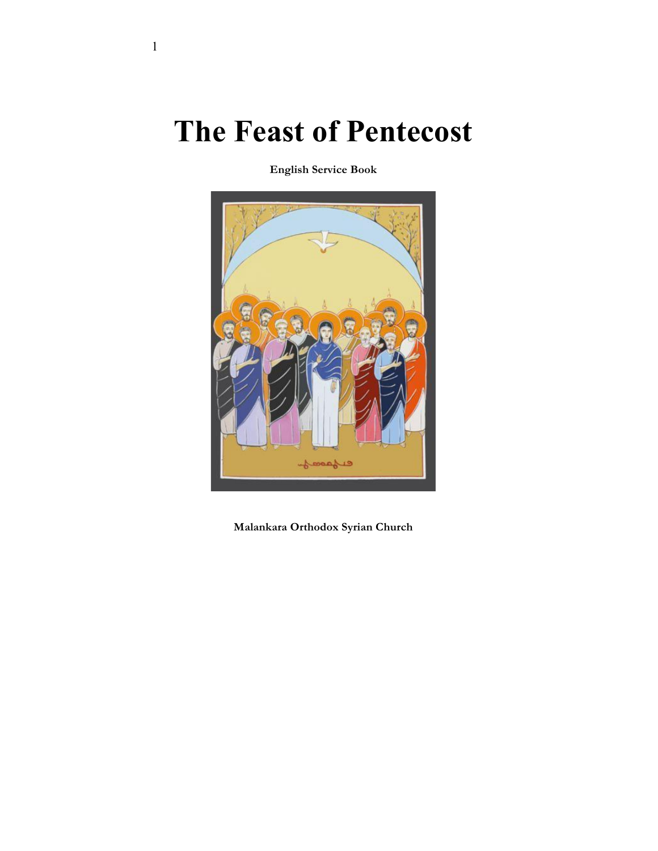# **The Feast of Pentecost**

**English Service Book**



**Malankara Orthodox Syrian Church**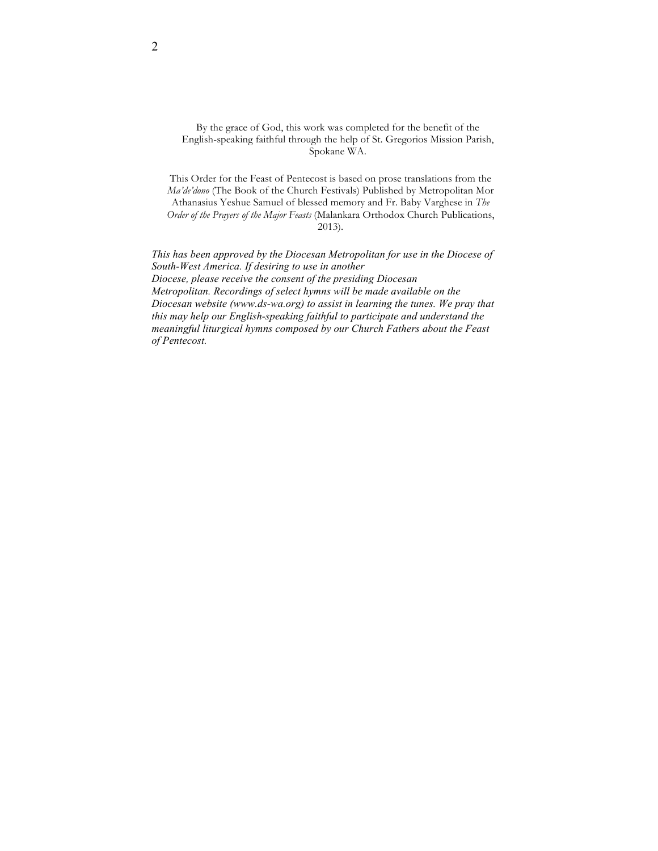By the grace of God, this work was completed for the benefit of the English-speaking faithful through the help of St. Gregorios Mission Parish, Spokane WA.

This Order for the Feast of Pentecost is based on prose translations from the *Ma'de'dono* (The Book of the Church Festivals) Published by Metropolitan Mor Athanasius Yeshue Samuel of blessed memory and Fr. Baby Varghese in *The Order of the Prayers of the Major Feasts* (Malankara Orthodox Church Publications, 2013).

*This has been approved by the Diocesan Metropolitan for use in the Diocese of South-West America. If desiring to use in another Diocese, please receive the consent of the presiding Diocesan Metropolitan. Recordings of select hymns will be made available on the Diocesan website (www.ds-wa.org) to assist in learning the tunes. We pray that this may help our English-speaking faithful to participate and understand the meaningful liturgical hymns composed by our Church Fathers about the Feast of Pentecost.*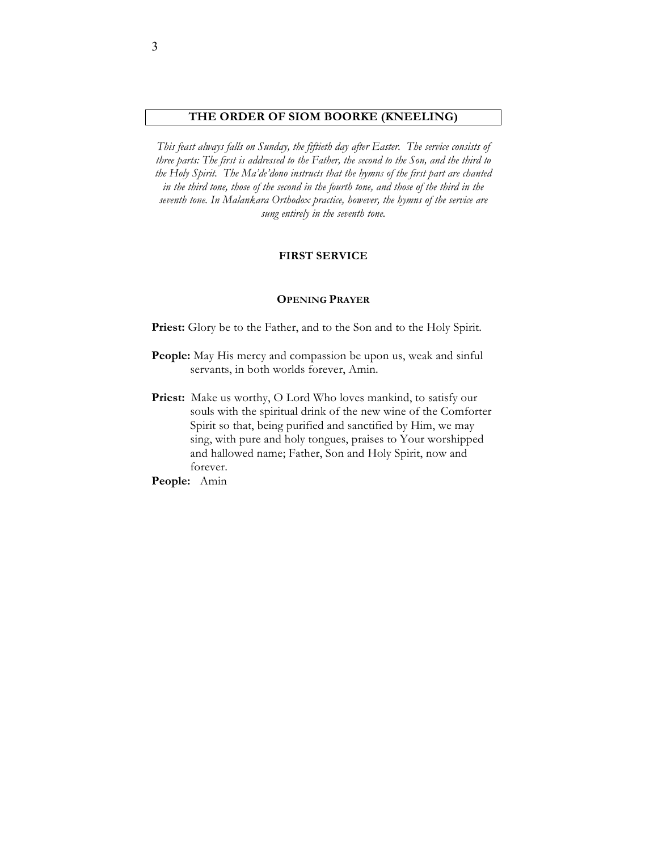# **THE ORDER OF SIOM BOORKE (KNEELING)**

*This feast always falls on Sunday, the fiftieth day after Easter. The service consists of three parts: The first is addressed to the Father, the second to the Son, and the third to the Holy Spirit. The Ma'de'dono instructs that the hymns of the first part are chanted in the third tone, those of the second in the fourth tone, and those of the third in the seventh tone. In Malankara Orthodox practice, however, the hymns of the service are sung entirely in the seventh tone.*

#### **FIRST SERVICE**

## **OPENING PRAYER**

Priest: Glory be to the Father, and to the Son and to the Holy Spirit.

- **People:** May His mercy and compassion be upon us, weak and sinful servants, in both worlds forever, Amin.
- Priest: Make us worthy, O Lord Who loves mankind, to satisfy our souls with the spiritual drink of the new wine of the Comforter Spirit so that, being purified and sanctified by Him, we may sing, with pure and holy tongues, praises to Your worshipped and hallowed name; Father, Son and Holy Spirit, now and forever.

**People:** Amin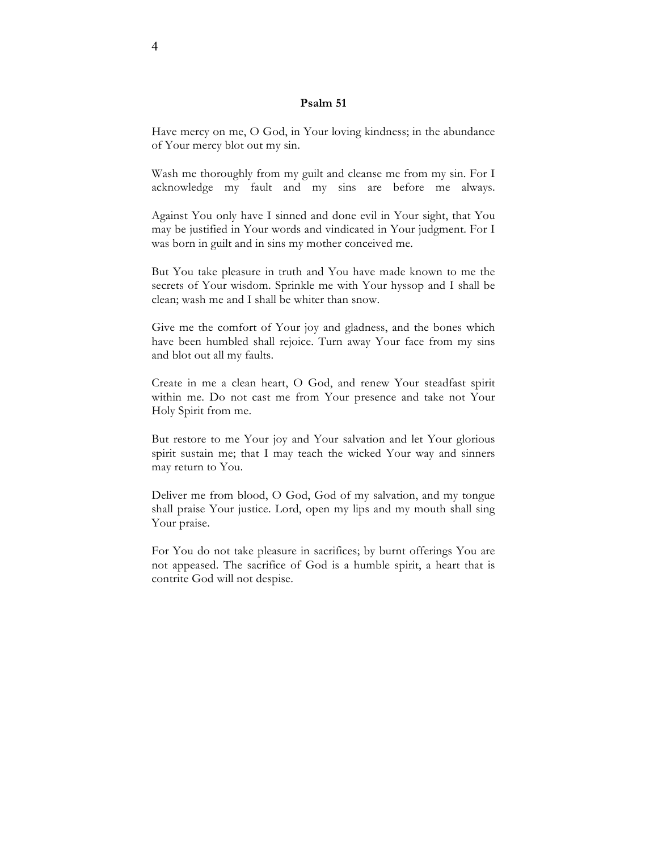# **Psalm 51**

Have mercy on me, O God, in Your loving kindness; in the abundance of Your mercy blot out my sin.

Wash me thoroughly from my guilt and cleanse me from my sin. For I acknowledge my fault and my sins are before me always.

Against You only have I sinned and done evil in Your sight, that You may be justified in Your words and vindicated in Your judgment. For I was born in guilt and in sins my mother conceived me.

But You take pleasure in truth and You have made known to me the secrets of Your wisdom. Sprinkle me with Your hyssop and I shall be clean; wash me and I shall be whiter than snow.

Give me the comfort of Your joy and gladness, and the bones which have been humbled shall rejoice. Turn away Your face from my sins and blot out all my faults.

Create in me a clean heart, O God, and renew Your steadfast spirit within me. Do not cast me from Your presence and take not Your Holy Spirit from me.

But restore to me Your joy and Your salvation and let Your glorious spirit sustain me; that I may teach the wicked Your way and sinners may return to You.

Deliver me from blood, O God, God of my salvation, and my tongue shall praise Your justice. Lord, open my lips and my mouth shall sing Your praise.

For You do not take pleasure in sacrifices; by burnt offerings You are not appeased. The sacrifice of God is a humble spirit, a heart that is contrite God will not despise.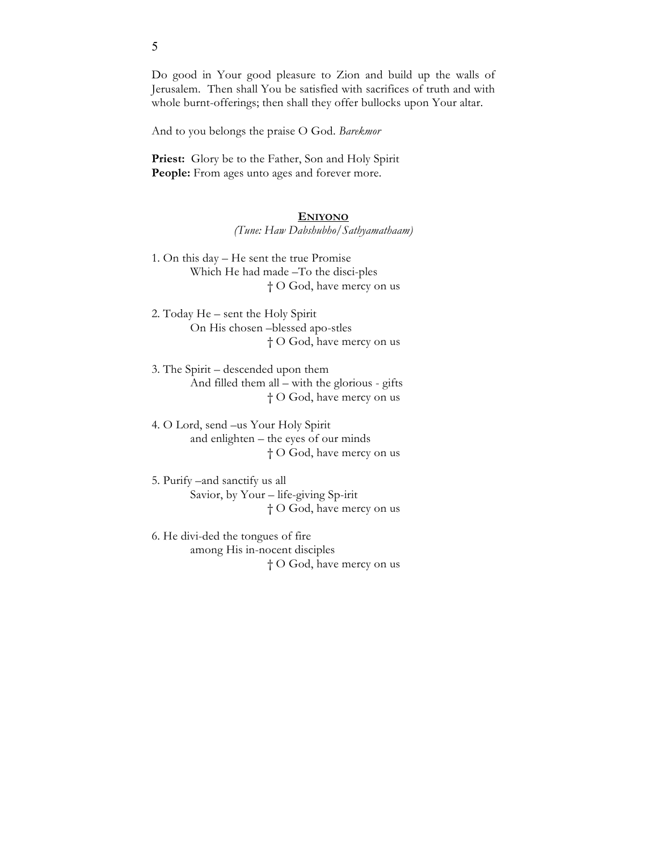Do good in Your good pleasure to Zion and build up the walls of Jerusalem. Then shall You be satisfied with sacrifices of truth and with whole burnt-offerings; then shall they offer bullocks upon Your altar.

And to you belongs the praise O God. *Barekmor* 

Priest: Glory be to the Father, Son and Holy Spirit People: From ages unto ages and forever more.

#### **ENIYONO**

*(Tune: Haw Dabshubho/Sathyamathaam)*

- 1. On this day He sent the true Promise Which He had made –To the disci-ples † O God, have mercy on us
- 2. Today He sent the Holy Spirit On His chosen –blessed apo-stles † O God, have mercy on us
- 3. The Spirit descended upon them And filled them all – with the glorious - gifts † O God, have mercy on us
- 4. O Lord, send –us Your Holy Spirit and enlighten – the eyes of our minds † O God, have mercy on us
- 5. Purify –and sanctify us all Savior, by Your – life-giving Sp-irit † O God, have mercy on us
- 6. He divi-ded the tongues of fire among His in-nocent disciples † O God, have mercy on us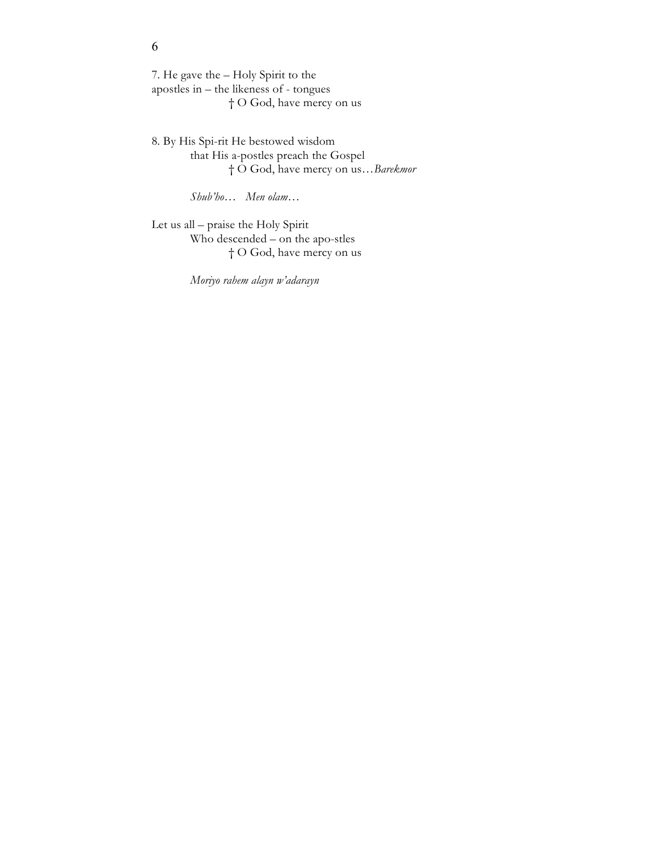7. He gave the – Holy Spirit to the apostles in – the likeness of - tongues † O God, have mercy on us

8. By His Spi-rit He bestowed wisdom that His a-postles preach the Gospel † O God, have mercy on us…*Barekmor*

*Shub'ho… Men olam…*

Let us all – praise the Holy Spirit Who descended – on the apo-stles † O God, have mercy on us

*Moriyo rahem alayn w'adarayn*

# 6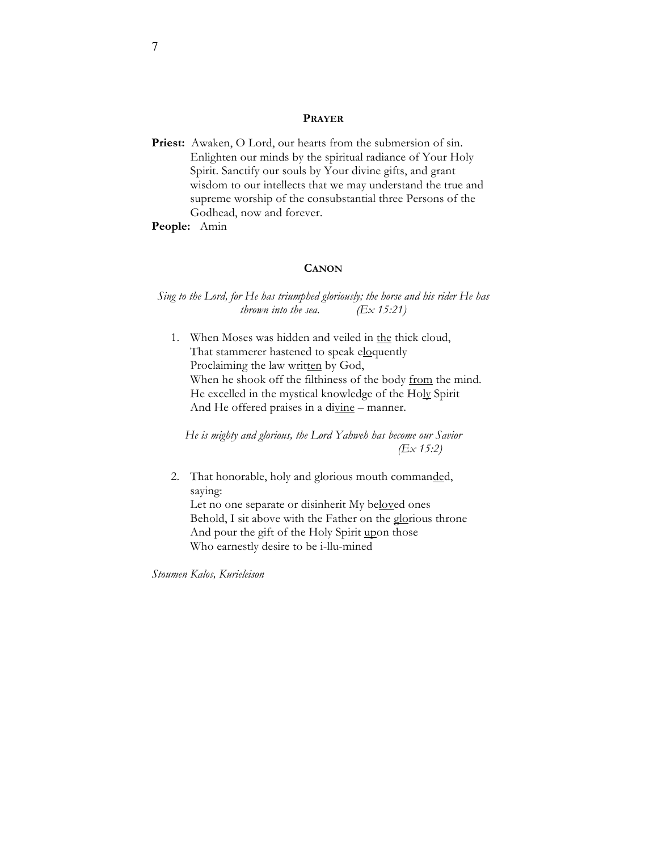# **PRAYER**

Priest: Awaken, O Lord, our hearts from the submersion of sin. Enlighten our minds by the spiritual radiance of Your Holy Spirit. Sanctify our souls by Your divine gifts, and grant wisdom to our intellects that we may understand the true and supreme worship of the consubstantial three Persons of the Godhead, now and forever.

**People:** Amin

# **CANON**

*Sing to the Lord, for He has triumphed gloriously; the horse and his rider He has thrown into the sea. (Ex 15:21)*

1. When Moses was hidden and veiled in the thick cloud, That stammerer hastened to speak eloquently Proclaiming the law written by God, When he shook off the filthiness of the body from the mind. He excelled in the mystical knowledge of the Holy Spirit And He offered praises in a divine - manner.

*He is mighty and glorious, the Lord Yahweh has become our Savior (Ex 15:2)*

2. That honorable, holy and glorious mouth commanded, saying: Let no one separate or disinherit My beloved ones Behold, I sit above with the Father on the glorious throne And pour the gift of the Holy Spirit upon those Who earnestly desire to be i-llu-mined

*Stoumen Kalos, Kurieleison*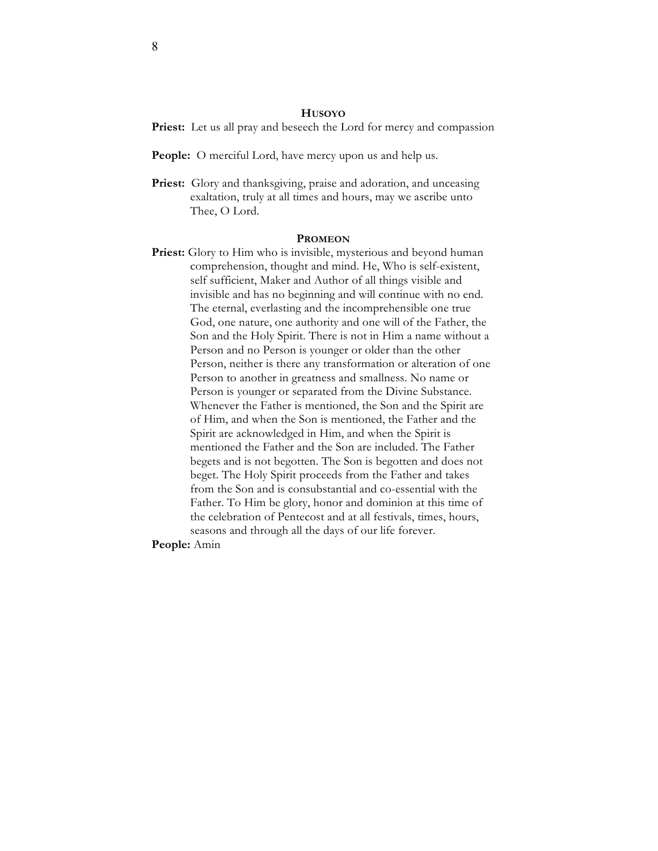#### **HUSOYO**

Priest: Let us all pray and beseech the Lord for mercy and compassion

- **People:** O merciful Lord, have mercy upon us and help us.
- Priest: Glory and thanksgiving, praise and adoration, and unceasing exaltation, truly at all times and hours, may we ascribe unto Thee, O Lord.

#### **PROMEON**

Priest: Glory to Him who is invisible, mysterious and beyond human comprehension, thought and mind. He, Who is self-existent, self sufficient, Maker and Author of all things visible and invisible and has no beginning and will continue with no end. The eternal, everlasting and the incomprehensible one true God, one nature, one authority and one will of the Father, the Son and the Holy Spirit. There is not in Him a name without a Person and no Person is younger or older than the other Person, neither is there any transformation or alteration of one Person to another in greatness and smallness. No name or Person is younger or separated from the Divine Substance. Whenever the Father is mentioned, the Son and the Spirit are of Him, and when the Son is mentioned, the Father and the Spirit are acknowledged in Him, and when the Spirit is mentioned the Father and the Son are included. The Father begets and is not begotten. The Son is begotten and does not beget. The Holy Spirit proceeds from the Father and takes from the Son and is consubstantial and co-essential with the Father. To Him be glory, honor and dominion at this time of the celebration of Pentecost and at all festivals, times, hours, seasons and through all the days of our life forever.

**People:** Amin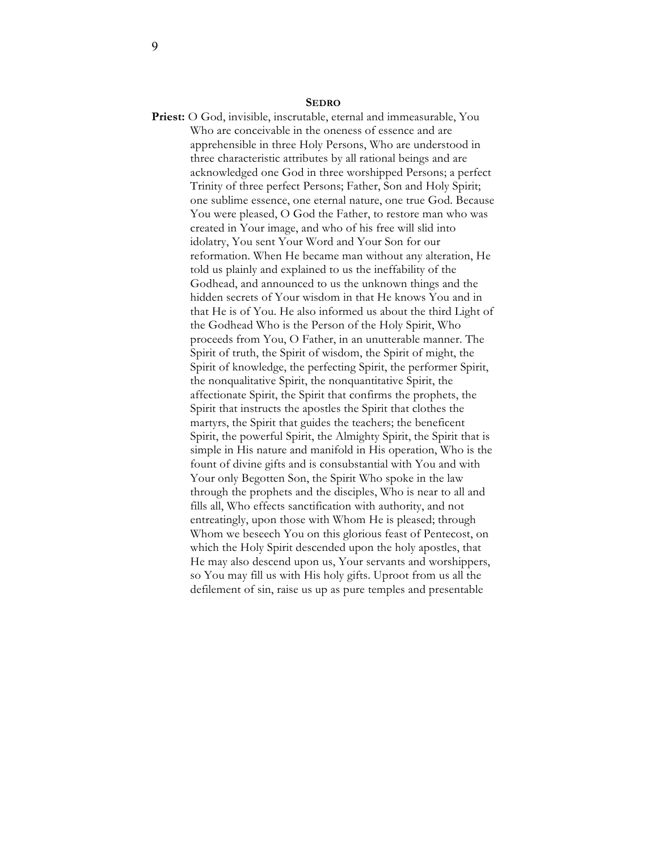#### **SEDRO**

**Priest:** O God, invisible, inscrutable, eternal and immeasurable, You Who are conceivable in the oneness of essence and are apprehensible in three Holy Persons, Who are understood in three characteristic attributes by all rational beings and are acknowledged one God in three worshipped Persons; a perfect Trinity of three perfect Persons; Father, Son and Holy Spirit; one sublime essence, one eternal nature, one true God. Because You were pleased, O God the Father, to restore man who was created in Your image, and who of his free will slid into idolatry, You sent Your Word and Your Son for our reformation. When He became man without any alteration, He told us plainly and explained to us the ineffability of the Godhead, and announced to us the unknown things and the hidden secrets of Your wisdom in that He knows You and in that He is of You. He also informed us about the third Light of the Godhead Who is the Person of the Holy Spirit, Who proceeds from You, O Father, in an unutterable manner. The Spirit of truth, the Spirit of wisdom, the Spirit of might, the Spirit of knowledge, the perfecting Spirit, the performer Spirit, the nonqualitative Spirit, the nonquantitative Spirit, the affectionate Spirit, the Spirit that confirms the prophets, the Spirit that instructs the apostles the Spirit that clothes the martyrs, the Spirit that guides the teachers; the beneficent Spirit, the powerful Spirit, the Almighty Spirit, the Spirit that is simple in His nature and manifold in His operation, Who is the fount of divine gifts and is consubstantial with You and with Your only Begotten Son, the Spirit Who spoke in the law through the prophets and the disciples, Who is near to all and fills all, Who effects sanctification with authority, and not entreatingly, upon those with Whom He is pleased; through Whom we beseech You on this glorious feast of Pentecost, on which the Holy Spirit descended upon the holy apostles, that He may also descend upon us, Your servants and worshippers, so You may fill us with His holy gifts. Uproot from us all the defilement of sin, raise us up as pure temples and presentable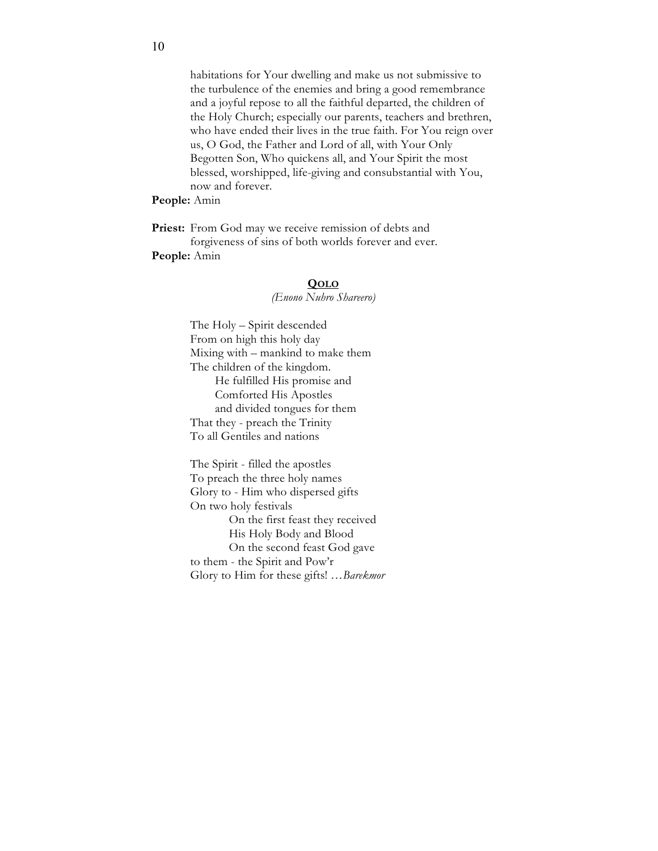habitations for Your dwelling and make us not submissive to the turbulence of the enemies and bring a good remembrance and a joyful repose to all the faithful departed, the children of the Holy Church; especially our parents, teachers and brethren, who have ended their lives in the true faith. For You reign over us, O God, the Father and Lord of all, with Your Only Begotten Son, Who quickens all, and Your Spirit the most blessed, worshipped, life-giving and consubstantial with You, now and forever.

# **People:** Amin

Priest: From God may we receive remission of debts and forgiveness of sins of both worlds forever and ever. **People:** Amin

#### **QOLO**

*(Enono Nuhro Shareero)*

The Holy – Spirit descended From on high this holy day Mixing with – mankind to make them The children of the kingdom. He fulfilled His promise and Comforted His Apostles and divided tongues for them That they - preach the Trinity To all Gentiles and nations

The Spirit - filled the apostles To preach the three holy names Glory to - Him who dispersed gifts On two holy festivals On the first feast they received His Holy Body and Blood On the second feast God gave to them - the Spirit and Pow'r Glory to Him for these gifts! …*Barekmor*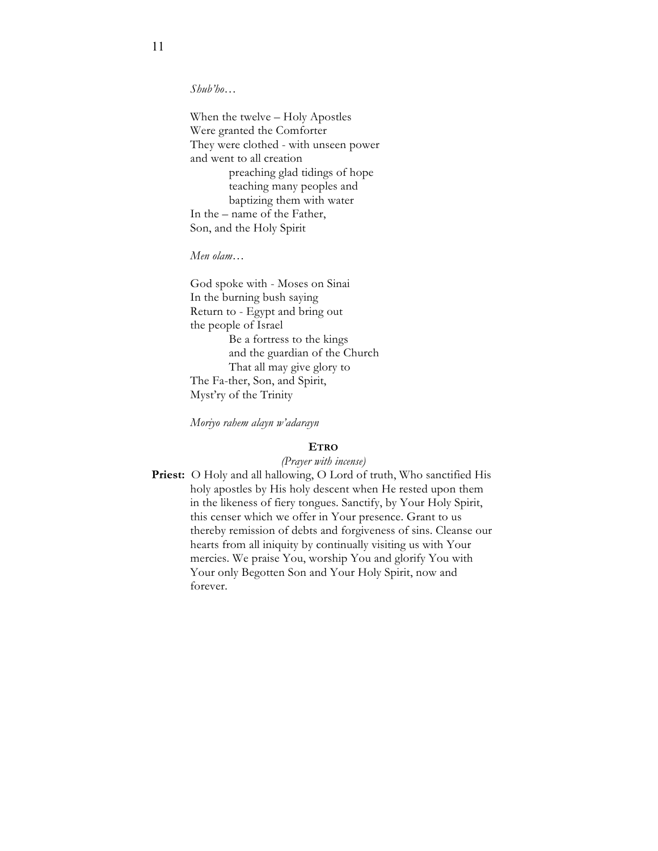*Shub'ho…* 

When the twelve – Holy Apostles Were granted the Comforter They were clothed - with unseen power and went to all creation preaching glad tidings of hope teaching many peoples and baptizing them with water In the – name of the Father, Son, and the Holy Spirit

*Men olam…*

God spoke with - Moses on Sinai In the burning bush saying Return to - Egypt and bring out the people of Israel Be a fortress to the kings and the guardian of the Church That all may give glory to The Fa-ther, Son, and Spirit, Myst'ry of the Trinity

*Moriyo rahem alayn w'adarayn*

# **ETRO**

*(Prayer with incense)*

Priest: O Holy and all hallowing, O Lord of truth, Who sanctified His holy apostles by His holy descent when He rested upon them in the likeness of fiery tongues. Sanctify, by Your Holy Spirit, this censer which we offer in Your presence. Grant to us thereby remission of debts and forgiveness of sins. Cleanse our hearts from all iniquity by continually visiting us with Your mercies. We praise You, worship You and glorify You with Your only Begotten Son and Your Holy Spirit, now and forever.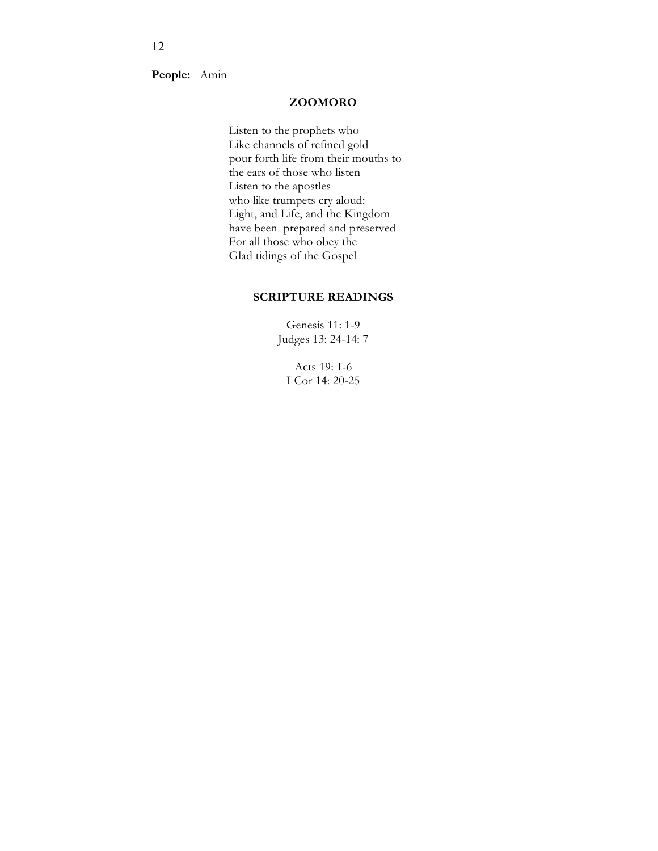**People:** Amin

# **ZOOMORO**

Listen to the prophets who Like channels of refined gold pour forth life from their mouths to the ears of those who listen Listen to the apostles who like trumpets cry aloud: Light, and Life, and the Kingdom have been prepared and preserved For all those who obey the Glad tidings of the Gospel

# **SCRIPTURE READINGS**

Genesis 11: 1-9 Judges 13: 24-14: 7

Acts 19: 1-6 I Cor 14: 20-25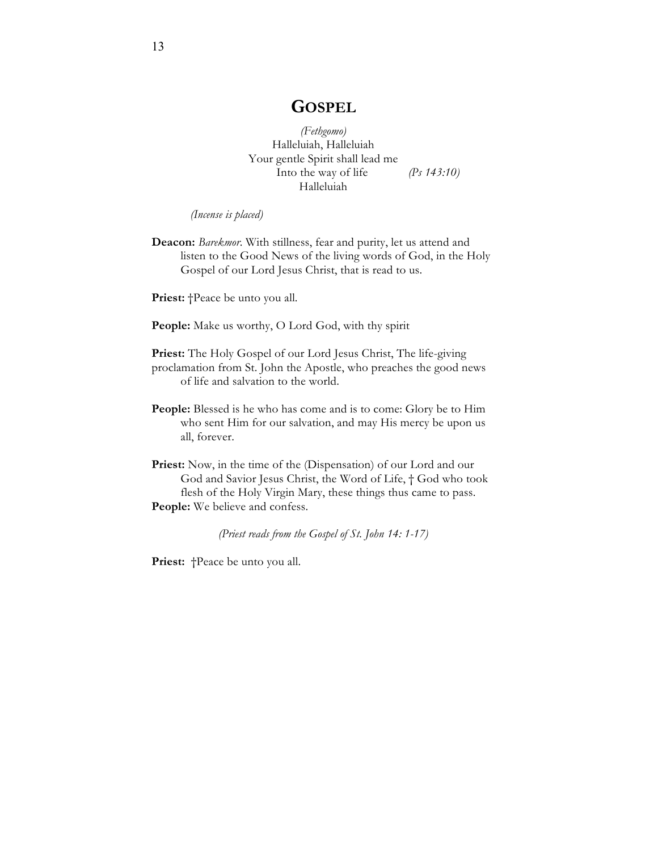# **GOSPEL**

*(Fethgomo)* Halleluiah, Halleluiah Your gentle Spirit shall lead me Into the way of life *(Ps 143:10)* Halleluiah

*(Incense is placed)*

**Deacon:** *Barekmor*. With stillness, fear and purity, let us attend and listen to the Good News of the living words of God, in the Holy Gospel of our Lord Jesus Christ, that is read to us.

**Priest:** †Peace be unto you all.

People: Make us worthy, O Lord God, with thy spirit

- Priest: The Holy Gospel of our Lord Jesus Christ, The life-giving proclamation from St. John the Apostle, who preaches the good news of life and salvation to the world.
- People: Blessed is he who has come and is to come: Glory be to Him who sent Him for our salvation, and may His mercy be upon us all, forever.
- **Priest:** Now, in the time of the (Dispensation) of our Lord and our God and Savior Jesus Christ, the Word of Life, † God who took flesh of the Holy Virgin Mary, these things thus came to pass. **People:** We believe and confess.

*(Priest reads from the Gospel of St. John 14: 1-17)*

Priest: †Peace be unto you all.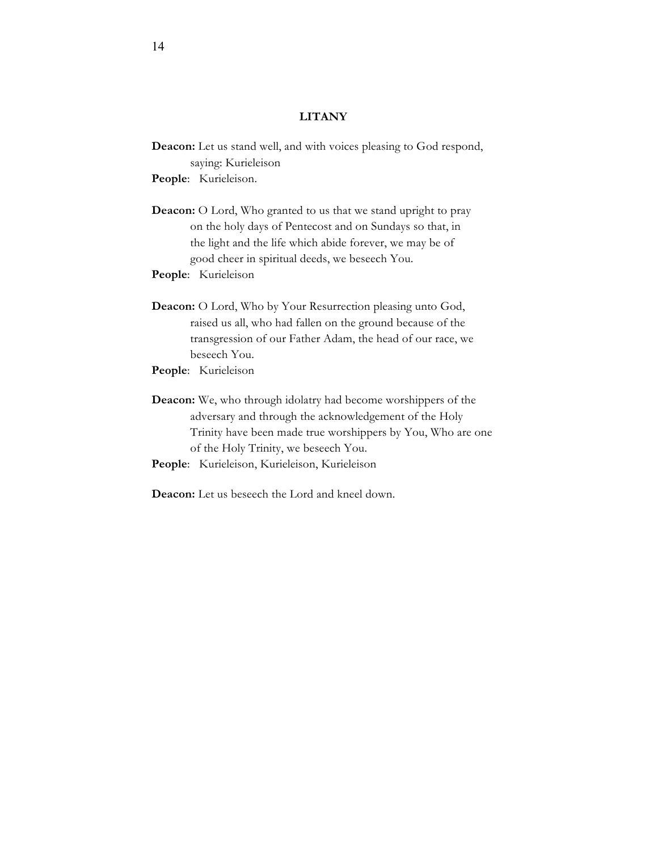# **LITANY**

**Deacon:** Let us stand well, and with voices pleasing to God respond, saying: Kurieleison

**People**: Kurieleison.

**Deacon:** O Lord, Who granted to us that we stand upright to pray on the holy days of Pentecost and on Sundays so that, in the light and the life which abide forever, we may be of good cheer in spiritual deeds, we beseech You.

**People**: Kurieleison

- **Deacon:** O Lord, Who by Your Resurrection pleasing unto God, raised us all, who had fallen on the ground because of the transgression of our Father Adam, the head of our race, we beseech You.
- **People**: Kurieleison
- **Deacon:** We, who through idolatry had become worshippers of the adversary and through the acknowledgement of the Holy Trinity have been made true worshippers by You, Who are one of the Holy Trinity, we beseech You.
- **People**: Kurieleison, Kurieleison, Kurieleison
- **Deacon:** Let us beseech the Lord and kneel down.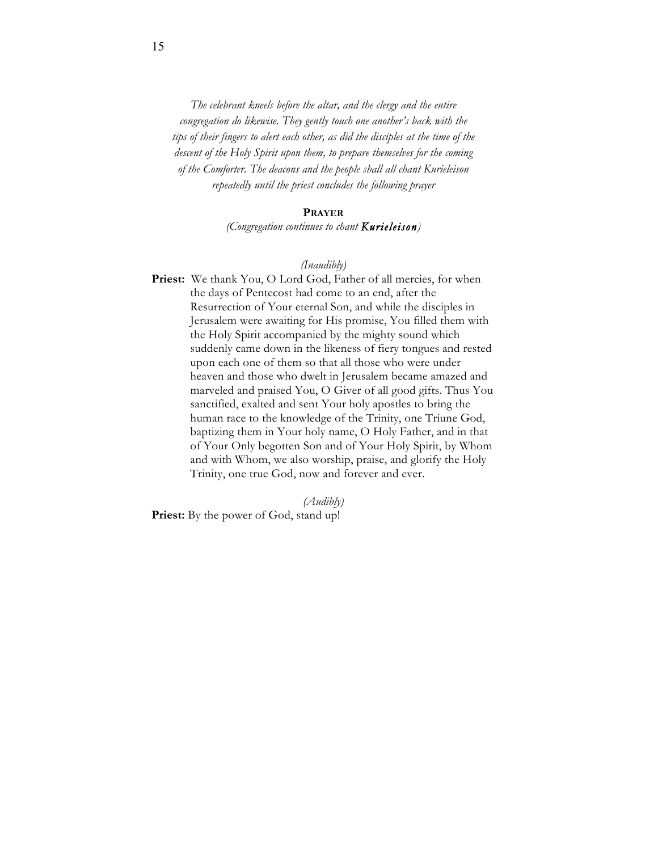*The celebrant kneels before the altar, and the clergy and the entire congregation do likewise. They gently touch one another's back with the tips of their fingers to alert each other, as did the disciples at the time of the descent of the Holy Spirit upon them, to prepare themselves for the coming of the Comforter. The deacons and the people shall all chant Kurieleison repeatedly until the priest concludes the following prayer*

#### **PRAYER**

*(Congregation continues to chant Kurieleison)*

# *(Inaudibly)*

Priest: We thank You, O Lord God, Father of all mercies, for when the days of Pentecost had come to an end, after the Resurrection of Your eternal Son, and while the disciples in Jerusalem were awaiting for His promise, You filled them with the Holy Spirit accompanied by the mighty sound which suddenly came down in the likeness of fiery tongues and rested upon each one of them so that all those who were under heaven and those who dwelt in Jerusalem became amazed and marveled and praised You, O Giver of all good gifts. Thus You sanctified, exalted and sent Your holy apostles to bring the human race to the knowledge of the Trinity, one Triune God, baptizing them in Your holy name, O Holy Father, and in that of Your Only begotten Son and of Your Holy Spirit, by Whom and with Whom, we also worship, praise, and glorify the Holy Trinity, one true God, now and forever and ever.

*(Audibly)* **Priest:** By the power of God, stand up!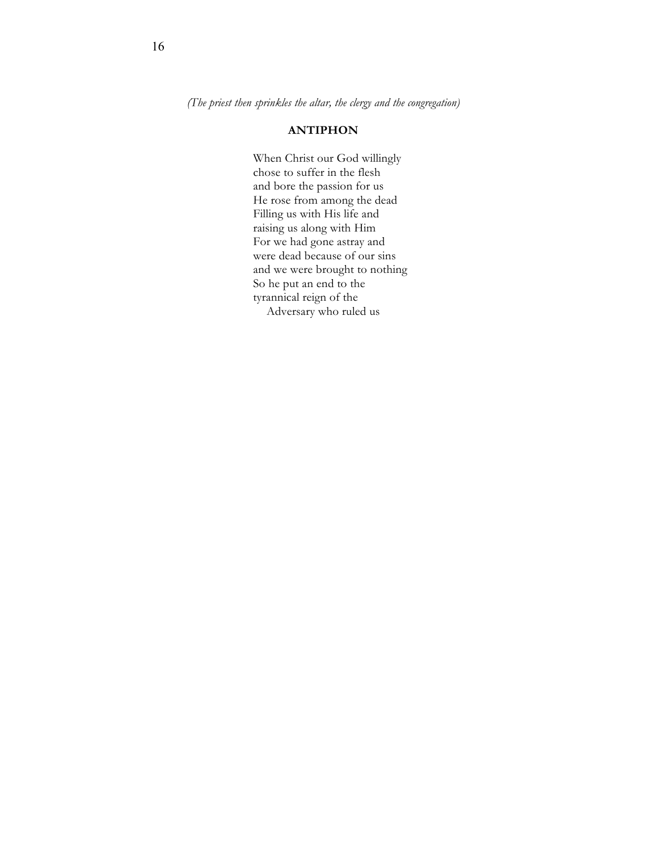*(The priest then sprinkles the altar, the clergy and the congregation)*

# **ANTIPHON**

When Christ our God willingly chose to suffer in the flesh and bore the passion for us He rose from among the dead Filling us with His life and raising us along with Him For we had gone astray and were dead because of our sins and we were brought to nothing So he put an end to the tyrannical reign of the Adversary who ruled us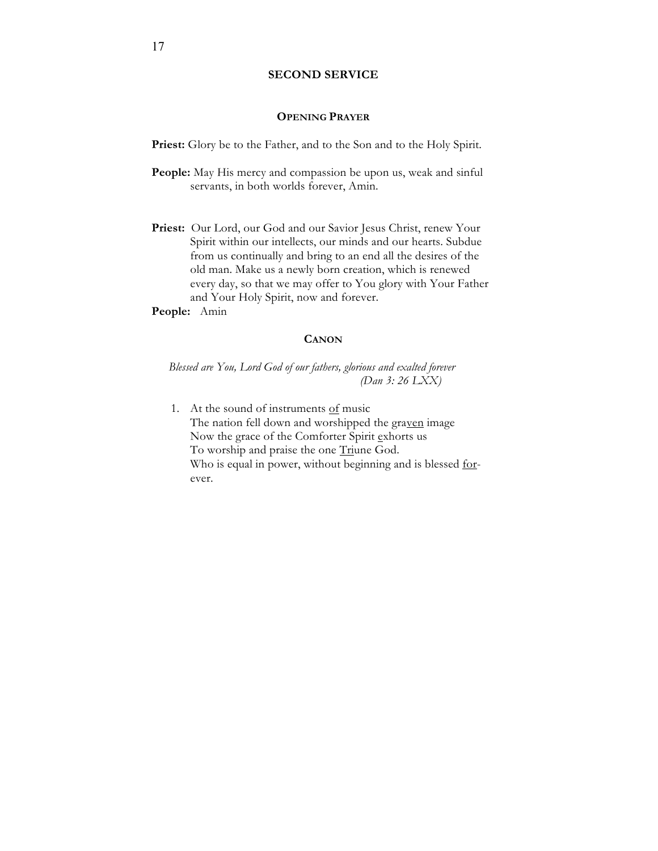# **SECOND SERVICE**

#### **OPENING PRAYER**

Priest: Glory be to the Father, and to the Son and to the Holy Spirit.

- **People:** May His mercy and compassion be upon us, weak and sinful servants, in both worlds forever, Amin.
- Priest: Our Lord, our God and our Savior Jesus Christ, renew Your Spirit within our intellects, our minds and our hearts. Subdue from us continually and bring to an end all the desires of the old man. Make us a newly born creation, which is renewed every day, so that we may offer to You glory with Your Father and Your Holy Spirit, now and forever.
- **People:** Amin

# **CANON**

*Blessed are You, Lord God of our fathers, glorious and exalted forever (Dan 3: 26 LXX)*

1. At the sound of instruments  $of$  music The nation fell down and worshipped the graven image Now the grace of the Comforter Spirit exhorts us To worship and praise the one Triune God. Who is equal in power, without beginning and is blessed <u>for</u>ever.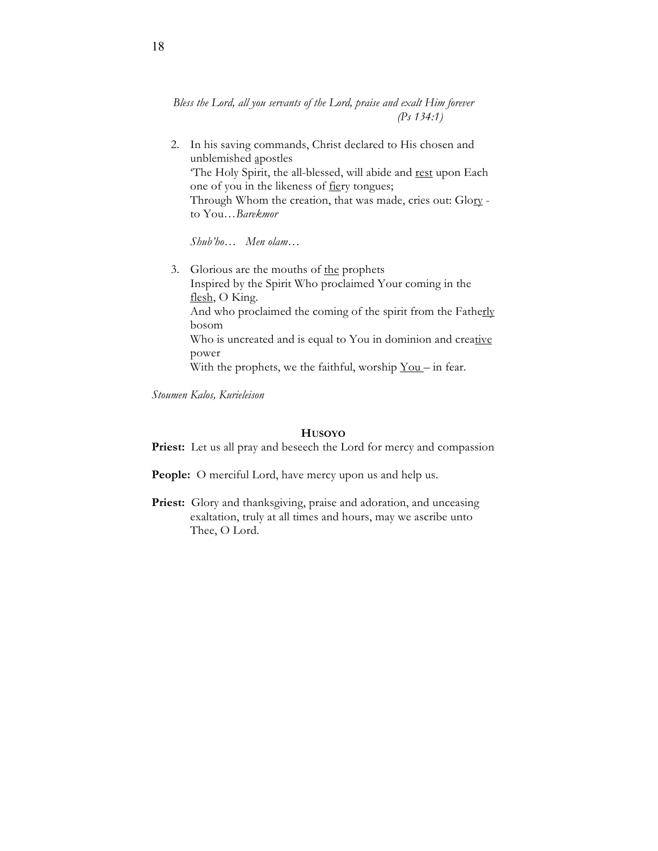*Bless the Lord, all you servants of the Lord, praise and exalt Him forever (Ps 134:1)*

2. In his saving commands, Christ declared to His chosen and unblemished apostles 'The Holy Spirit, the all-blessed, will abide and rest upon Each one of you in the likeness of fiery tongues; Through Whom the creation, that was made, cries out: Glory to You…*Barekmor*

*Shub'ho… Men olam…*

3. Glorious are the mouths of the prophets Inspired by the Spirit Who proclaimed Your coming in the flesh, O King. And who proclaimed the coming of the spirit from the Fatherly bosom Who is uncreated and is equal to You in dominion and creative power With the prophets, we the faithful, worship  $You – in fear.$ </u>

*Stoumen Kalos, Kurieleison* 

# **HUSOYO**

Priest: Let us all pray and beseech the Lord for mercy and compassion

- **People:** O merciful Lord, have mercy upon us and help us.
- Priest: Glory and thanksgiving, praise and adoration, and unceasing exaltation, truly at all times and hours, may we ascribe unto Thee, O Lord.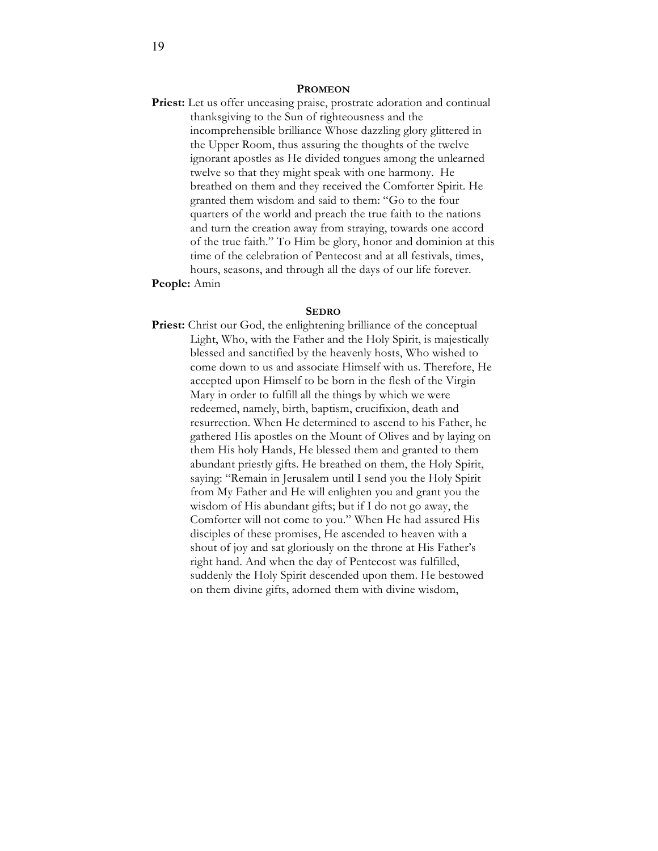#### **PROMEON**

Priest: Let us offer unceasing praise, prostrate adoration and continual thanksgiving to the Sun of righteousness and the incomprehensible brilliance Whose dazzling glory glittered in the Upper Room, thus assuring the thoughts of the twelve ignorant apostles as He divided tongues among the unlearned twelve so that they might speak with one harmony. He breathed on them and they received the Comforter Spirit. He granted them wisdom and said to them: "Go to the four quarters of the world and preach the true faith to the nations and turn the creation away from straying, towards one accord of the true faith." To Him be glory, honor and dominion at this time of the celebration of Pentecost and at all festivals, times, hours, seasons, and through all the days of our life forever.

# **People:** Amin

#### **SEDRO**

**Priest:** Christ our God, the enlightening brilliance of the conceptual Light, Who, with the Father and the Holy Spirit, is majestically blessed and sanctified by the heavenly hosts, Who wished to come down to us and associate Himself with us. Therefore, He accepted upon Himself to be born in the flesh of the Virgin Mary in order to fulfill all the things by which we were redeemed, namely, birth, baptism, crucifixion, death and resurrection. When He determined to ascend to his Father, he gathered His apostles on the Mount of Olives and by laying on them His holy Hands, He blessed them and granted to them abundant priestly gifts. He breathed on them, the Holy Spirit, saying: "Remain in Jerusalem until I send you the Holy Spirit from My Father and He will enlighten you and grant you the wisdom of His abundant gifts; but if I do not go away, the Comforter will not come to you." When He had assured His disciples of these promises, He ascended to heaven with a shout of joy and sat gloriously on the throne at His Father's right hand. And when the day of Pentecost was fulfilled, suddenly the Holy Spirit descended upon them. He bestowed on them divine gifts, adorned them with divine wisdom,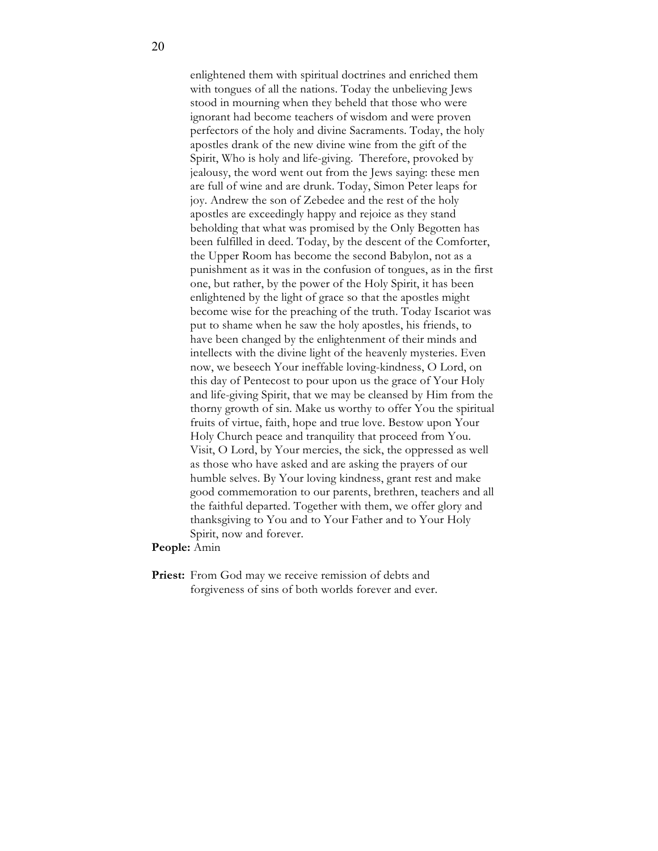enlightened them with spiritual doctrines and enriched them with tongues of all the nations. Today the unbelieving Jews stood in mourning when they beheld that those who were ignorant had become teachers of wisdom and were proven perfectors of the holy and divine Sacraments. Today, the holy apostles drank of the new divine wine from the gift of the Spirit, Who is holy and life-giving. Therefore, provoked by jealousy, the word went out from the Jews saying: these men are full of wine and are drunk. Today, Simon Peter leaps for joy. Andrew the son of Zebedee and the rest of the holy apostles are exceedingly happy and rejoice as they stand beholding that what was promised by the Only Begotten has been fulfilled in deed. Today, by the descent of the Comforter, the Upper Room has become the second Babylon, not as a punishment as it was in the confusion of tongues, as in the first one, but rather, by the power of the Holy Spirit, it has been enlightened by the light of grace so that the apostles might become wise for the preaching of the truth. Today Iscariot was put to shame when he saw the holy apostles, his friends, to have been changed by the enlightenment of their minds and intellects with the divine light of the heavenly mysteries. Even now, we beseech Your ineffable loving-kindness, O Lord, on this day of Pentecost to pour upon us the grace of Your Holy and life-giving Spirit, that we may be cleansed by Him from the thorny growth of sin. Make us worthy to offer You the spiritual fruits of virtue, faith, hope and true love. Bestow upon Your Holy Church peace and tranquility that proceed from You. Visit, O Lord, by Your mercies, the sick, the oppressed as well as those who have asked and are asking the prayers of our humble selves. By Your loving kindness, grant rest and make good commemoration to our parents, brethren, teachers and all the faithful departed. Together with them, we offer glory and thanksgiving to You and to Your Father and to Your Holy Spirit, now and forever.

#### **People:** Amin

Priest: From God may we receive remission of debts and forgiveness of sins of both worlds forever and ever.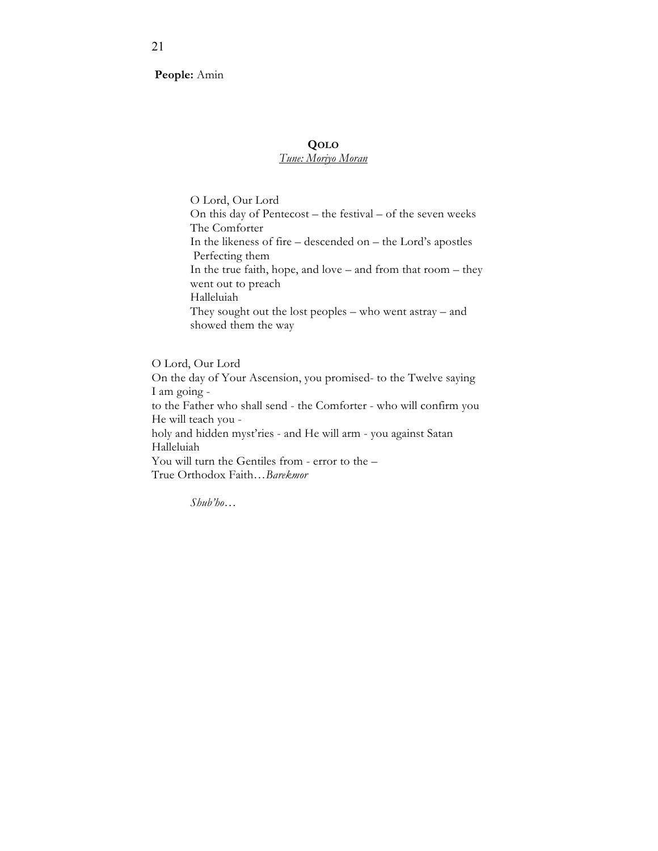**People:** Amin

# **QOLO**

# *Tune: Moriyo Moran*

O Lord, Our Lord On this day of Pentecost – the festival – of the seven weeks The Comforter In the likeness of fire – descended on – the Lord's apostles Perfecting them In the true faith, hope, and love – and from that room – they went out to preach Halleluiah They sought out the lost peoples – who went astray – and showed them the way

O Lord, Our Lord On the day of Your Ascension, you promised- to the Twelve saying I am going to the Father who shall send - the Comforter - who will confirm you He will teach you holy and hidden myst'ries - and He will arm - you against Satan Halleluiah You will turn the Gentiles from - error to the – True Orthodox Faith…*Barekmor*

*Shub'ho…*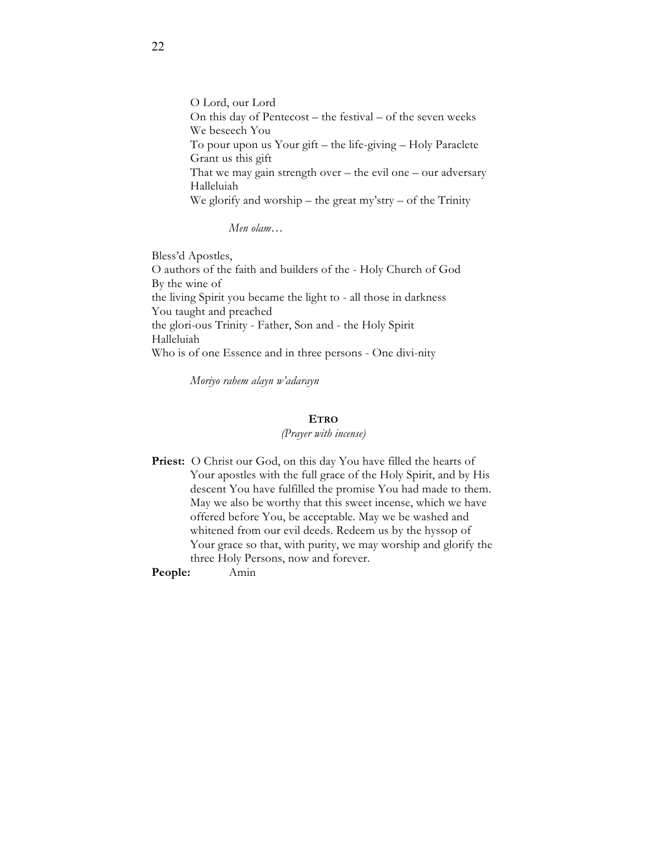O Lord, our Lord On this day of Pentecost – the festival – of the seven weeks We beseech You To pour upon us Your gift – the life-giving – Holy Paraclete Grant us this gift That we may gain strength over  $-$  the evil one  $-$  our adversary Halleluiah We glorify and worship – the great my'stry – of the Trinity

*Men olam…*

Bless'd Apostles, O authors of the faith and builders of the - Holy Church of God By the wine of the living Spirit you became the light to - all those in darkness You taught and preached the glori-ous Trinity - Father, Son and - the Holy Spirit Halleluiah Who is of one Essence and in three persons - One divi-nity

*Moriyo rahem alayn w'adarayn*

## **ETRO**

#### *(Prayer with incense)*

Priest: O Christ our God, on this day You have filled the hearts of Your apostles with the full grace of the Holy Spirit, and by His descent You have fulfilled the promise You had made to them. May we also be worthy that this sweet incense, which we have offered before You, be acceptable. May we be washed and whitened from our evil deeds. Redeem us by the hyssop of Your grace so that, with purity, we may worship and glorify the three Holy Persons, now and forever.

**People:** Amin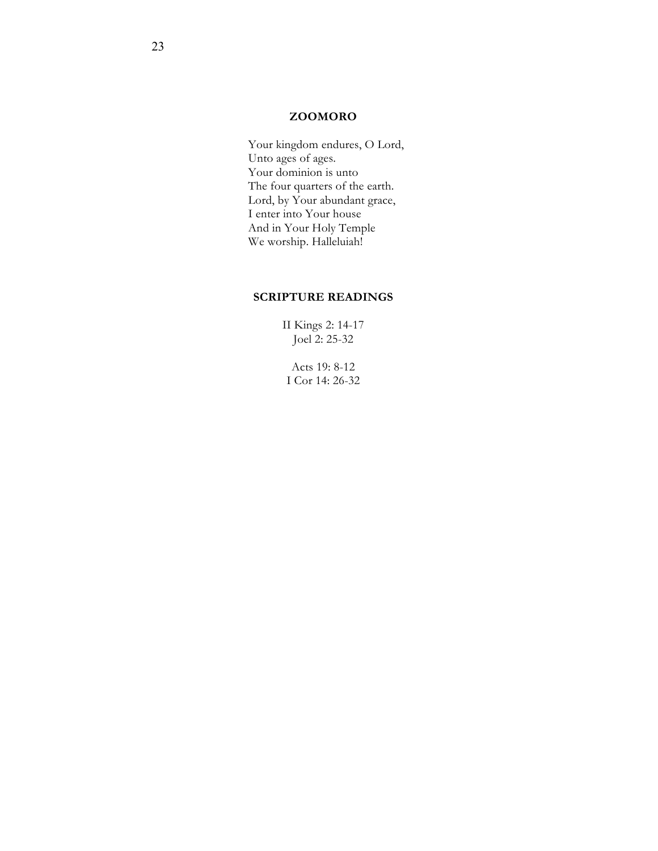# **ZOOMORO**

Your kingdom endures, O Lord, Unto ages of ages. Your dominion is unto The four quarters of the earth. Lord, by Your abundant grace, I enter into Your house And in Your Holy Temple We worship. Halleluiah!

# **SCRIPTURE READINGS**

II Kings 2: 14-17 Joel 2: 25-32

Acts 19: 8-12 I Cor 14: 26-32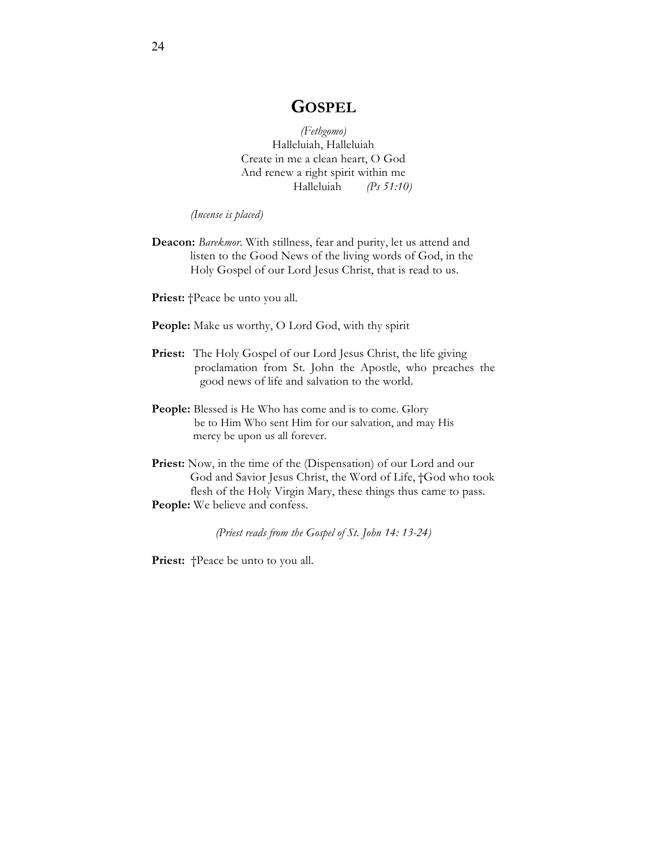# **GOSPEL**

*(Fethgomo)* Halleluiah, Halleluiah Create in me a clean heart, O God And renew a right spirit within me Halleluiah *(Ps 51:10)*

*(Incense is placed)*

**Deacon:** *Barekmor*. With stillness, fear and purity, let us attend and listen to the Good News of the living words of God, in the Holy Gospel of our Lord Jesus Christ, that is read to us.

Priest: †Peace be unto you all.

People: Make us worthy, O Lord God, with thy spirit

- Priest: The Holy Gospel of our Lord Jesus Christ, the life giving proclamation from St. John the Apostle, who preaches the good news of life and salvation to the world.
- People: Blessed is He Who has come and is to come. Glory be to Him Who sent Him for our salvation, and may His mercy be upon us all forever.
- Priest: Now, in the time of the (Dispensation) of our Lord and our God and Savior Jesus Christ, the Word of Life, †God who took flesh of the Holy Virgin Mary, these things thus came to pass. **People:** We believe and confess.

*(Priest reads from the Gospel of St. John 14: 13-24)*

Priest:  $\uparrow$ Peace be unto to you all.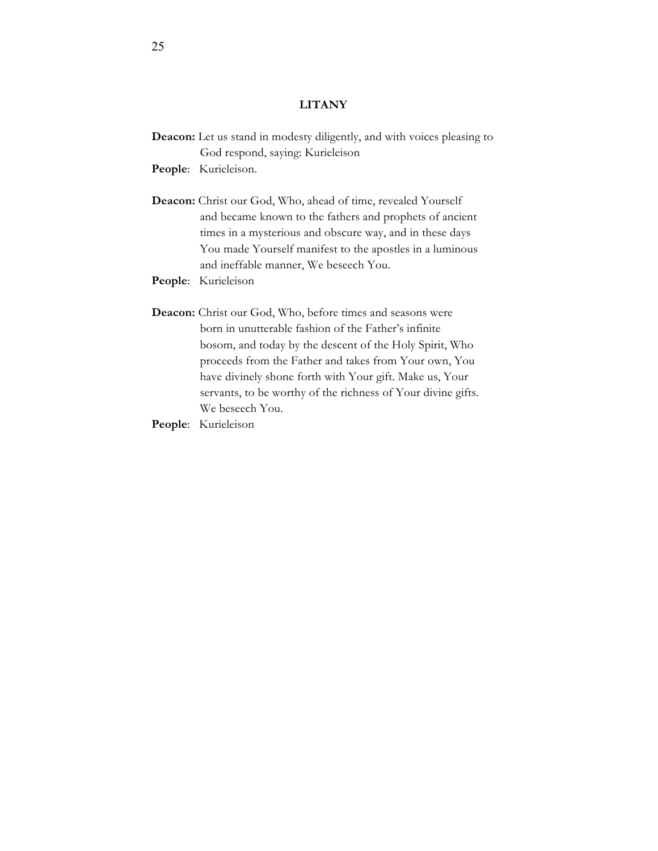# **LITANY**

**Deacon:** Let us stand in modesty diligently, and with voices pleasing to God respond, saying: Kurieleison

**People**: Kurieleison.

- **Deacon:** Christ our God, Who, ahead of time, revealed Yourself and became known to the fathers and prophets of ancient times in a mysterious and obscure way, and in these days You made Yourself manifest to the apostles in a luminous and ineffable manner, We beseech You.
- **People**: Kurieleison
- **Deacon:** Christ our God, Who, before times and seasons were born in unutterable fashion of the Father's infinite bosom, and today by the descent of the Holy Spirit, Who proceeds from the Father and takes from Your own, You have divinely shone forth with Your gift. Make us, Your servants, to be worthy of the richness of Your divine gifts. We beseech You.
- **People**: Kurieleison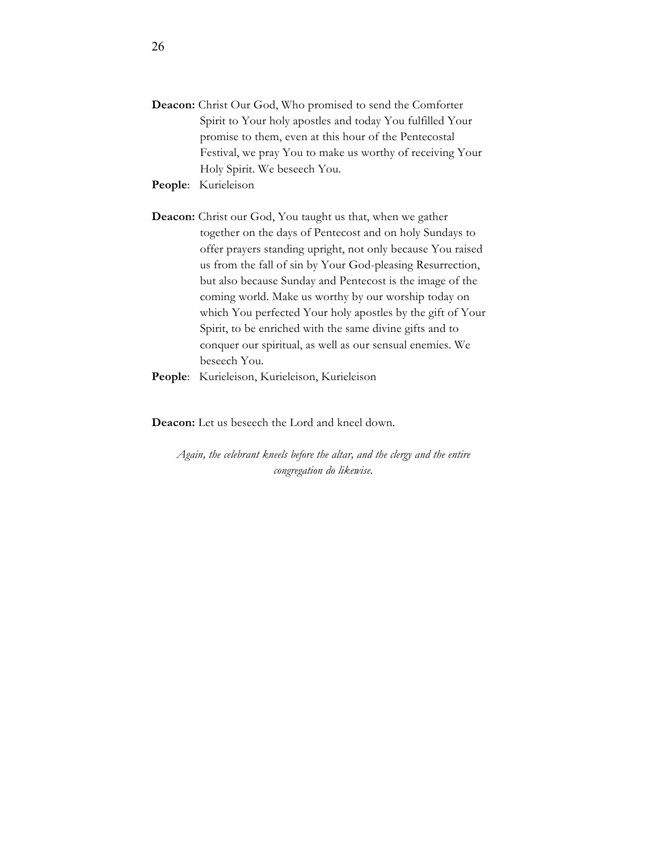- **Deacon:** Christ Our God, Who promised to send the Comforter Spirit to Your holy apostles and today You fulfilled Your promise to them, even at this hour of the Pentecostal Festival, we pray You to make us worthy of receiving Your Holy Spirit. We beseech You.
- **People**: Kurieleison

**Deacon:** Christ our God, You taught us that, when we gather together on the days of Pentecost and on holy Sundays to offer prayers standing upright, not only because You raised us from the fall of sin by Your God-pleasing Resurrection, but also because Sunday and Pentecost is the image of the coming world. Make us worthy by our worship today on which You perfected Your holy apostles by the gift of Your Spirit, to be enriched with the same divine gifts and to conquer our spiritual, as well as our sensual enemies. We beseech You.

**People**: Kurieleison, Kurieleison, Kurieleison

**Deacon:** Let us beseech the Lord and kneel down.

*Again, the celebrant kneels before the altar, and the clergy and the entire congregation do likewise.*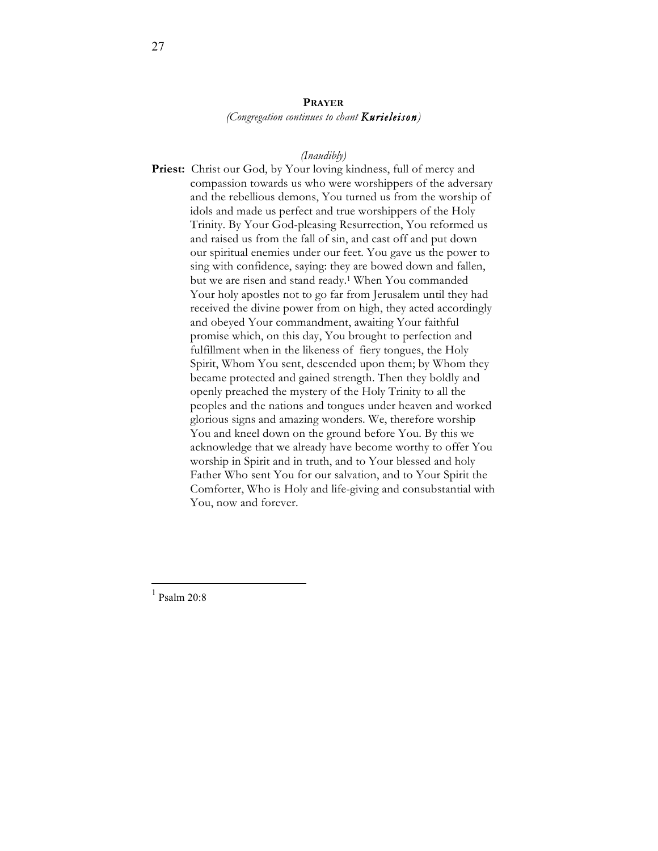# **PRAYER** *(Congregation continues to chant Kurieleison)*

#### *(Inaudibly)*

Priest: Christ our God, by Your loving kindness, full of mercy and compassion towards us who were worshippers of the adversary and the rebellious demons, You turned us from the worship of idols and made us perfect and true worshippers of the Holy Trinity. By Your God-pleasing Resurrection, You reformed us and raised us from the fall of sin, and cast off and put down our spiritual enemies under our feet. You gave us the power to sing with confidence, saying: they are bowed down and fallen, but we are risen and stand ready.1 When You commanded Your holy apostles not to go far from Jerusalem until they had received the divine power from on high, they acted accordingly and obeyed Your commandment, awaiting Your faithful promise which, on this day, You brought to perfection and fulfillment when in the likeness of fiery tongues, the Holy Spirit, Whom You sent, descended upon them; by Whom they became protected and gained strength. Then they boldly and openly preached the mystery of the Holy Trinity to all the peoples and the nations and tongues under heaven and worked glorious signs and amazing wonders. We, therefore worship You and kneel down on the ground before You. By this we acknowledge that we already have become worthy to offer You worship in Spirit and in truth, and to Your blessed and holy Father Who sent You for our salvation, and to Your Spirit the Comforter, Who is Holy and life-giving and consubstantial with You, now and forever.

1 Psalm 20:8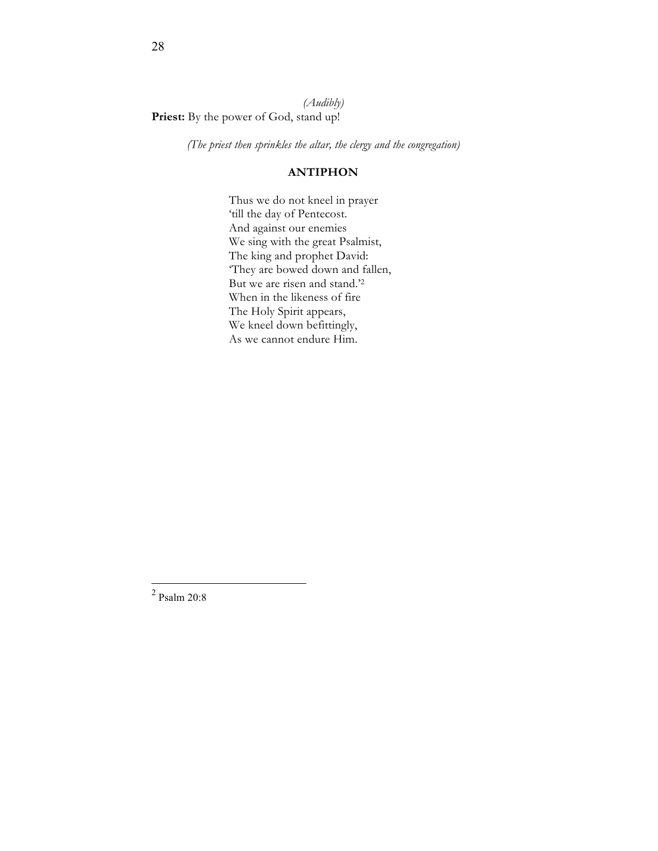*(Audibly)* Priest: By the power of God, stand up!

*(The priest then sprinkles the altar, the clergy and the congregation)*

# **ANTIPHON**

Thus we do not kneel in prayer 'till the day of Pentecost. And against our enemies We sing with the great Psalmist, The king and prophet David: 'They are bowed down and fallen, But we are risen and stand.'2 When in the likeness of fire The Holy Spirit appears, We kneel down befittingly, As we cannot endure Him.

<sup>2</sup> Psalm 20:8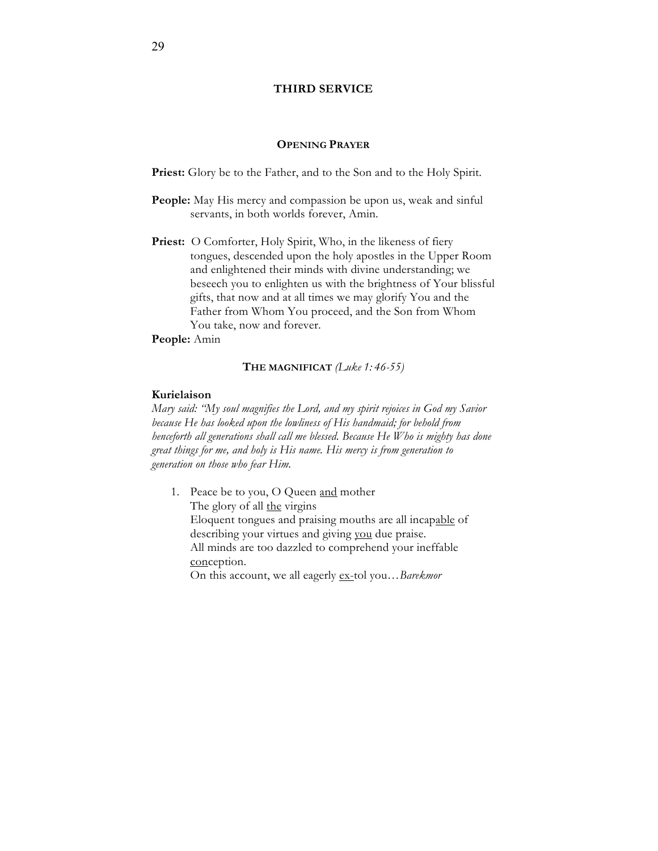# **THIRD SERVICE**

# **OPENING PRAYER**

Priest: Glory be to the Father, and to the Son and to the Holy Spirit.

- **People:** May His mercy and compassion be upon us, weak and sinful servants, in both worlds forever, Amin.
- Priest: O Comforter, Holy Spirit, Who, in the likeness of fiery tongues, descended upon the holy apostles in the Upper Room and enlightened their minds with divine understanding; we beseech you to enlighten us with the brightness of Your blissful gifts, that now and at all times we may glorify You and the Father from Whom You proceed, and the Son from Whom You take, now and forever.

**People:** Amin

# **THE MAGNIFICAT** *(Luke 1: 46-55)*

# **Kurielaison**

*Mary said: "My soul magnifies the Lord, and my spirit rejoices in God my Savior because He has looked upon the lowliness of His handmaid; for behold from henceforth all generations shall call me blessed. Because He Who is mighty has done great things for me, and holy is His name. His mercy is from generation to generation on those who fear Him.*

1. Peace be to you, O Queen and mother The glory of all the virgins Eloquent tongues and praising mouths are all incapable of describing your virtues and giving you due praise. All minds are too dazzled to comprehend your ineffable conception. On this account, we all eagerly ex-tol you…*Barekmor*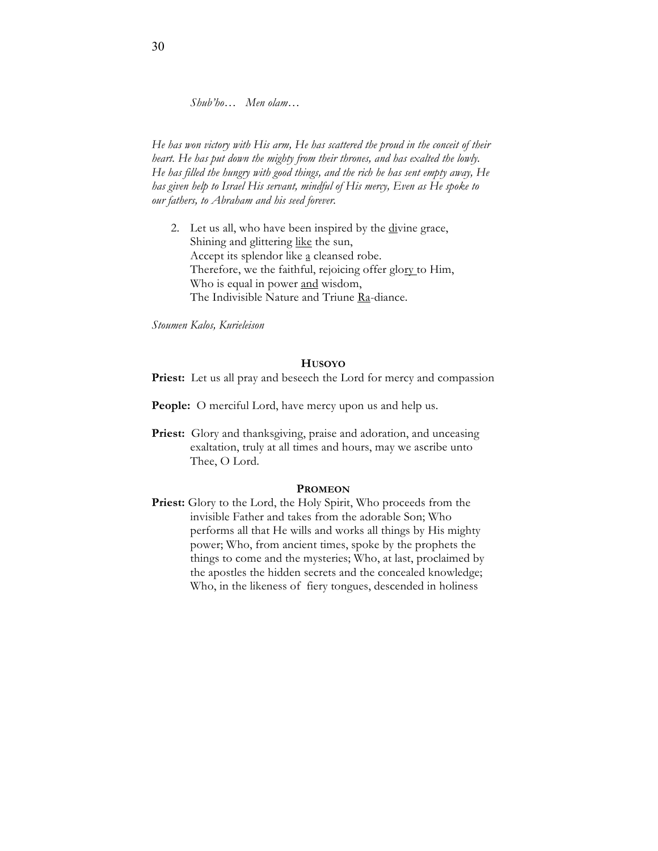*Shub'ho… Men olam…*

*He has won victory with His arm, He has scattered the proud in the conceit of their heart. He has put down the mighty from their thrones, and has exalted the lowly. He has filled the hungry with good things, and the rich he has sent empty away, He has given help to Israel His servant, mindful of His mercy, Even as He spoke to our fathers, to Abraham and his seed forever.*

2. Let us all, who have been inspired by the divine grace, Shining and glittering like the sun, Accept its splendor like a cleansed robe. Therefore, we the faithful, rejoicing offer glory to Him, Who is equal in power and wisdom, The Indivisible Nature and Triune Ra-diance.

*Stoumen Kalos, Kurieleison*

# **HUSOYO**

Priest: Let us all pray and beseech the Lord for mercy and compassion

- **People:** O merciful Lord, have mercy upon us and help us.
- **Priest:** Glory and thanksgiving, praise and adoration, and unceasing exaltation, truly at all times and hours, may we ascribe unto Thee, O Lord.

#### **PROMEON**

**Priest:** Glory to the Lord, the Holy Spirit, Who proceeds from the invisible Father and takes from the adorable Son; Who performs all that He wills and works all things by His mighty power; Who, from ancient times, spoke by the prophets the things to come and the mysteries; Who, at last, proclaimed by the apostles the hidden secrets and the concealed knowledge; Who, in the likeness of fiery tongues, descended in holiness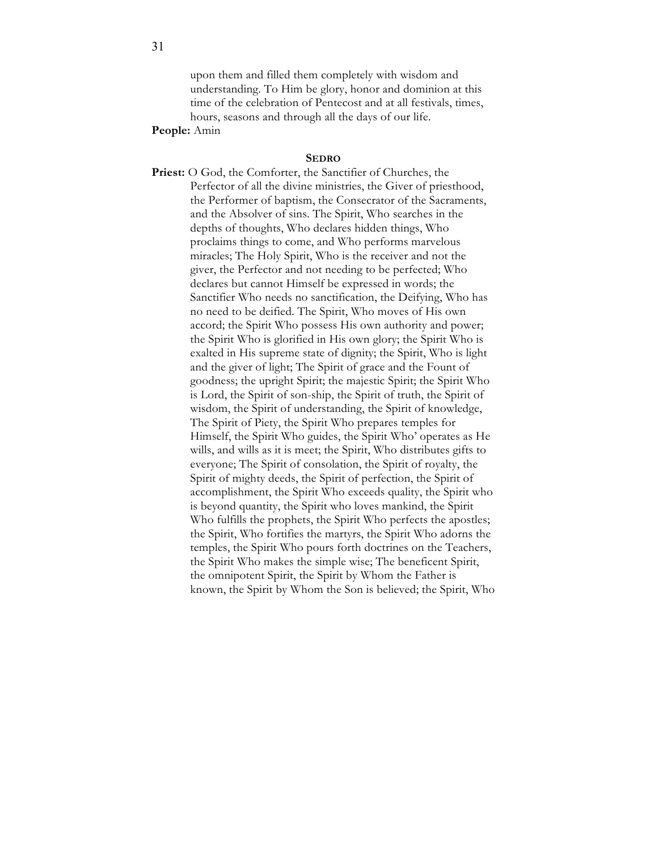upon them and filled them completely with wisdom and understanding. To Him be glory, honor and dominion at this time of the celebration of Pentecost and at all festivals, times, hours, seasons and through all the days of our life.

#### **People:** Amin

#### **SEDRO**

**Priest:** O God, the Comforter, the Sanctifier of Churches, the Perfector of all the divine ministries, the Giver of priesthood, the Performer of baptism, the Consecrator of the Sacraments, and the Absolver of sins. The Spirit, Who searches in the depths of thoughts, Who declares hidden things, Who proclaims things to come, and Who performs marvelous miracles; The Holy Spirit, Who is the receiver and not the giver, the Perfector and not needing to be perfected; Who declares but cannot Himself be expressed in words; the Sanctifier Who needs no sanctification, the Deifying, Who has no need to be deified. The Spirit, Who moves of His own accord; the Spirit Who possess His own authority and power; the Spirit Who is glorified in His own glory; the Spirit Who is exalted in His supreme state of dignity; the Spirit, Who is light and the giver of light; The Spirit of grace and the Fount of goodness; the upright Spirit; the majestic Spirit; the Spirit Who is Lord, the Spirit of son-ship, the Spirit of truth, the Spirit of wisdom, the Spirit of understanding, the Spirit of knowledge, The Spirit of Piety, the Spirit Who prepares temples for Himself, the Spirit Who guides, the Spirit Who' operates as He wills, and wills as it is meet; the Spirit, Who distributes gifts to everyone; The Spirit of consolation, the Spirit of royalty, the Spirit of mighty deeds, the Spirit of perfection, the Spirit of accomplishment, the Spirit Who exceeds quality, the Spirit who is beyond quantity, the Spirit who loves mankind, the Spirit Who fulfills the prophets, the Spirit Who perfects the apostles; the Spirit, Who fortifies the martyrs, the Spirit Who adorns the temples, the Spirit Who pours forth doctrines on the Teachers, the Spirit Who makes the simple wise; The beneficent Spirit, the omnipotent Spirit, the Spirit by Whom the Father is known, the Spirit by Whom the Son is believed; the Spirit, Who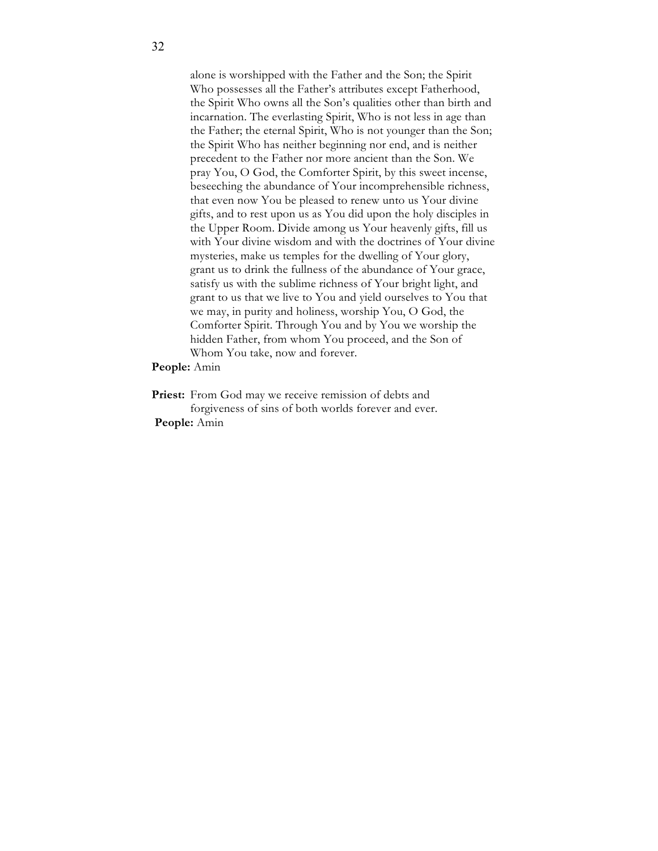alone is worshipped with the Father and the Son; the Spirit Who possesses all the Father's attributes except Fatherhood, the Spirit Who owns all the Son's qualities other than birth and incarnation. The everlasting Spirit, Who is not less in age than the Father; the eternal Spirit, Who is not younger than the Son; the Spirit Who has neither beginning nor end, and is neither precedent to the Father nor more ancient than the Son. We pray You, O God, the Comforter Spirit, by this sweet incense, beseeching the abundance of Your incomprehensible richness, that even now You be pleased to renew unto us Your divine gifts, and to rest upon us as You did upon the holy disciples in the Upper Room. Divide among us Your heavenly gifts, fill us with Your divine wisdom and with the doctrines of Your divine mysteries, make us temples for the dwelling of Your glory, grant us to drink the fullness of the abundance of Your grace, satisfy us with the sublime richness of Your bright light, and grant to us that we live to You and yield ourselves to You that we may, in purity and holiness, worship You, O God, the Comforter Spirit. Through You and by You we worship the hidden Father, from whom You proceed, and the Son of Whom You take, now and forever.

#### **People:** Amin

Priest: From God may we receive remission of debts and forgiveness of sins of both worlds forever and ever. **People:** Amin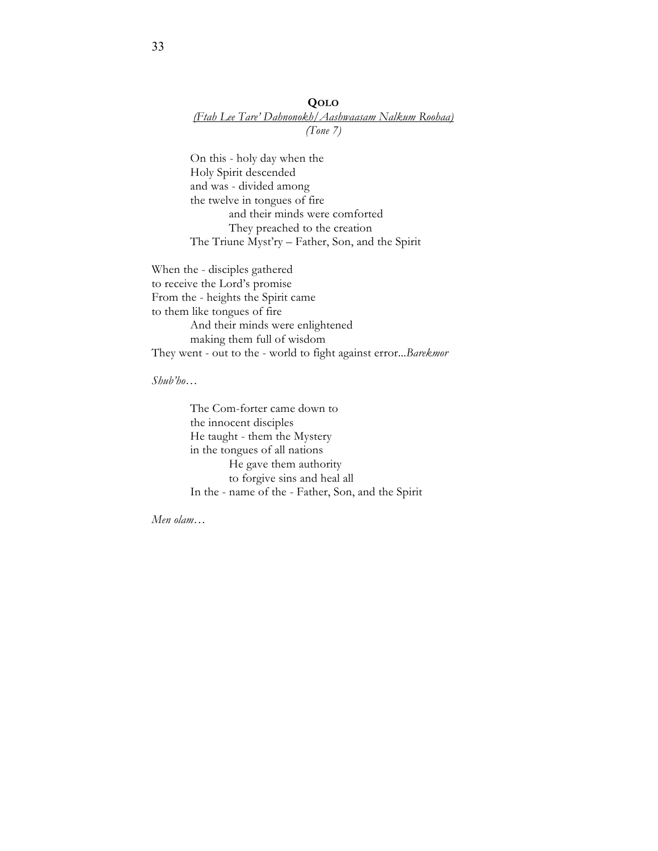# **QOLO** *(Ftah Lee Tare' Dahnonokh/Aashwaasam Nalkum Roohaa) (Tone 7)*

On this - holy day when the Holy Spirit descended and was - divided among the twelve in tongues of fire and their minds were comforted They preached to the creation The Triune Myst'ry – Father, Son, and the Spirit

When the - disciples gathered to receive the Lord's promise From the - heights the Spirit came to them like tongues of fire And their minds were enlightened making them full of wisdom They went - out to the - world to fight against error...*Barekmor*

*Shub'ho…* 

The Com-forter came down to the innocent disciples He taught - them the Mystery in the tongues of all nations He gave them authority to forgive sins and heal all In the - name of the - Father, Son, and the Spirit

*Men olam…*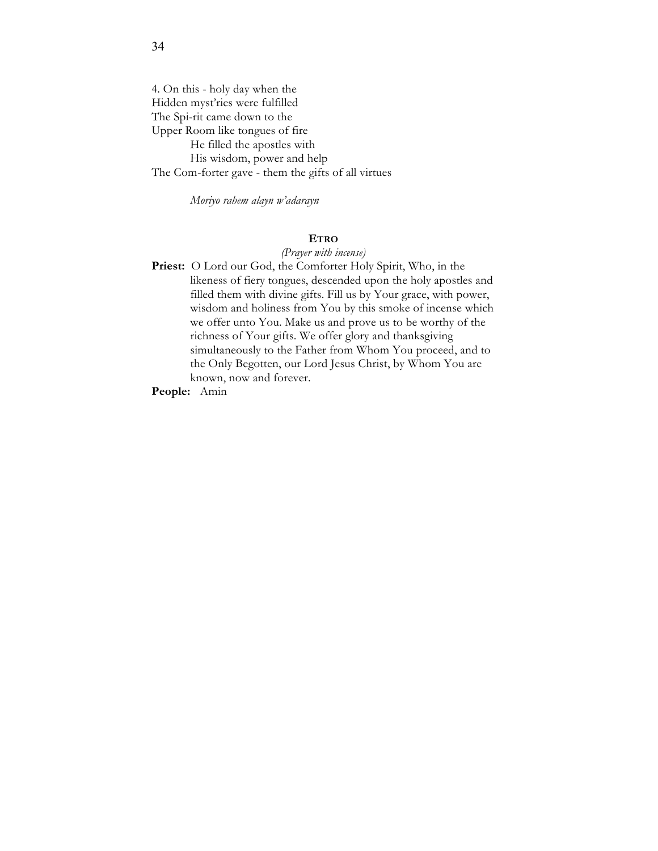4. On this - holy day when the Hidden myst'ries were fulfilled The Spi-rit came down to the Upper Room like tongues of fire He filled the apostles with His wisdom, power and help The Com-forter gave - them the gifts of all virtues

*Moriyo rahem alayn w'adarayn*

# **ETRO**

#### *(Prayer with incense)*

**Priest:** O Lord our God, the Comforter Holy Spirit, Who, in the likeness of fiery tongues, descended upon the holy apostles and filled them with divine gifts. Fill us by Your grace, with power, wisdom and holiness from You by this smoke of incense which we offer unto You. Make us and prove us to be worthy of the richness of Your gifts. We offer glory and thanksgiving simultaneously to the Father from Whom You proceed, and to the Only Begotten, our Lord Jesus Christ, by Whom You are known, now and forever.

**People:** Amin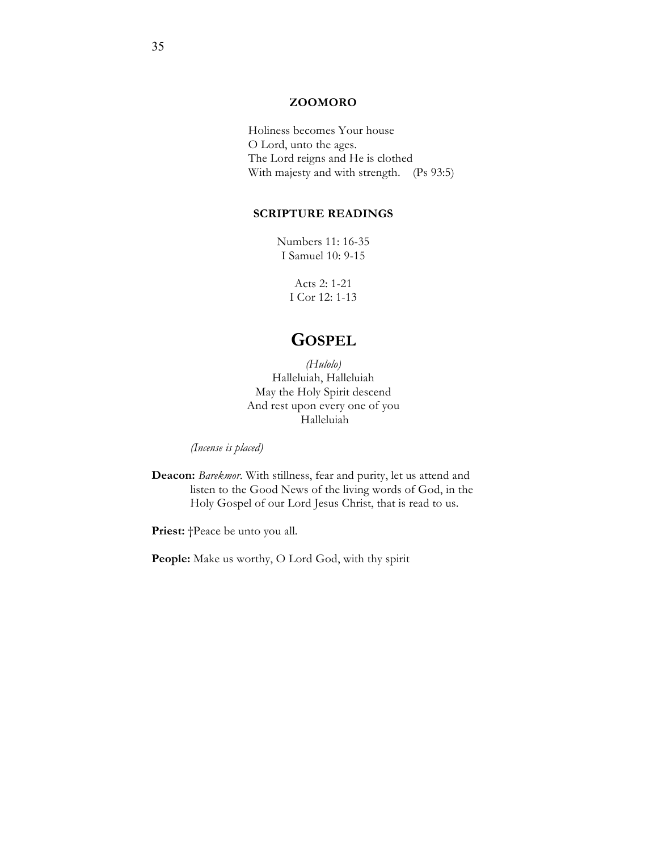# **ZOOMORO**

Holiness becomes Your house O Lord, unto the ages. The Lord reigns and He is clothed With majesty and with strength. (Ps 93:5)

# **SCRIPTURE READINGS**

Numbers 11: 16-35 I Samuel 10: 9-15

> Acts 2: 1-21 I Cor 12: 1-13

# **GOSPEL**

*(Hulolo)* Halleluiah, Halleluiah May the Holy Spirit descend And rest upon every one of you Halleluiah

*(Incense is placed)*

**Deacon:** *Barekmor*. With stillness, fear and purity, let us attend and listen to the Good News of the living words of God, in the Holy Gospel of our Lord Jesus Christ, that is read to us.

Priest:  $\uparrow$ Peace be unto you all.

People: Make us worthy, O Lord God, with thy spirit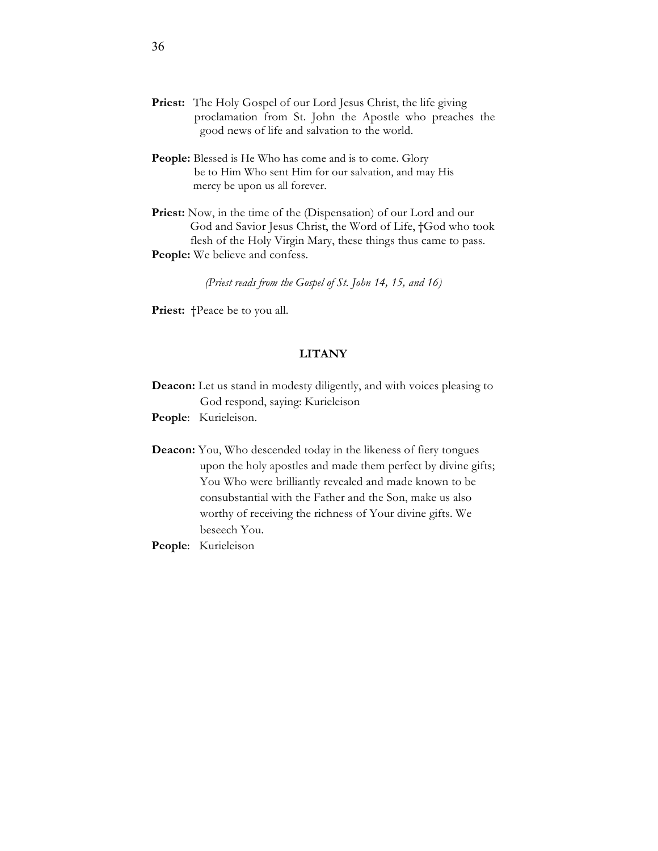- Priest: The Holy Gospel of our Lord Jesus Christ, the life giving proclamation from St. John the Apostle who preaches the good news of life and salvation to the world.
- People: Blessed is He Who has come and is to come. Glory be to Him Who sent Him for our salvation, and may His mercy be upon us all forever.
- Priest: Now, in the time of the (Dispensation) of our Lord and our God and Savior Jesus Christ, the Word of Life, †God who took flesh of the Holy Virgin Mary, these things thus came to pass. **People:** We believe and confess.

*(Priest reads from the Gospel of St. John 14, 15, and 16)*

Priest:  $\uparrow$ Peace be to you all.

# **LITANY**

**Deacon:** Let us stand in modesty diligently, and with voices pleasing to God respond, saying: Kurieleison

**People**: Kurieleison.

- **Deacon:** You, Who descended today in the likeness of fiery tongues upon the holy apostles and made them perfect by divine gifts; You Who were brilliantly revealed and made known to be consubstantial with the Father and the Son, make us also worthy of receiving the richness of Your divine gifts. We beseech You.
- **People**: Kurieleison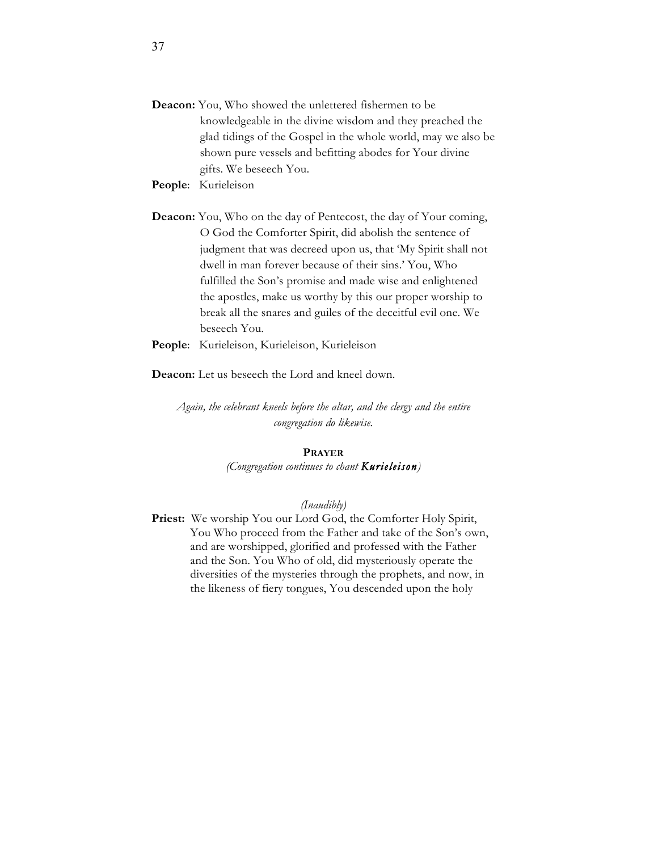- **Deacon:** You, Who showed the unlettered fishermen to be knowledgeable in the divine wisdom and they preached the glad tidings of the Gospel in the whole world, may we also be shown pure vessels and befitting abodes for Your divine gifts. We beseech You.
- **People**: Kurieleison
- **Deacon:** You, Who on the day of Pentecost, the day of Your coming, O God the Comforter Spirit, did abolish the sentence of judgment that was decreed upon us, that 'My Spirit shall not dwell in man forever because of their sins.' You, Who fulfilled the Son's promise and made wise and enlightened the apostles, make us worthy by this our proper worship to break all the snares and guiles of the deceitful evil one. We beseech You.
- **People**: Kurieleison, Kurieleison, Kurieleison

**Deacon:** Let us beseech the Lord and kneel down.

*Again, the celebrant kneels before the altar, and the clergy and the entire congregation do likewise.* 

# **PRAYER**

*(Congregation continues to chant Kurieleison)*

#### *(Inaudibly)*

Priest: We worship You our Lord God, the Comforter Holy Spirit, You Who proceed from the Father and take of the Son's own, and are worshipped, glorified and professed with the Father and the Son. You Who of old, did mysteriously operate the diversities of the mysteries through the prophets, and now, in the likeness of fiery tongues, You descended upon the holy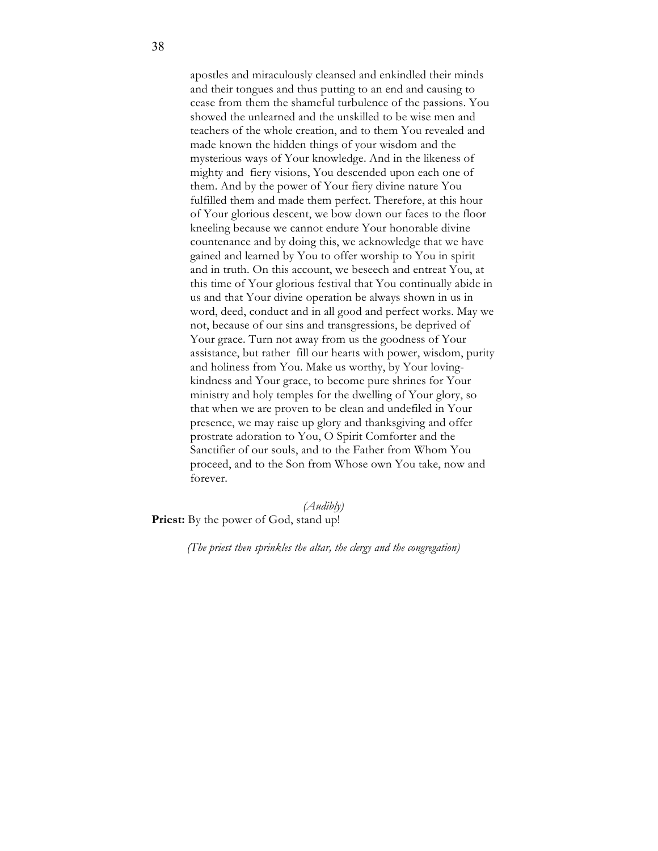apostles and miraculously cleansed and enkindled their minds and their tongues and thus putting to an end and causing to cease from them the shameful turbulence of the passions. You showed the unlearned and the unskilled to be wise men and teachers of the whole creation, and to them You revealed and made known the hidden things of your wisdom and the mysterious ways of Your knowledge. And in the likeness of mighty and fiery visions, You descended upon each one of them. And by the power of Your fiery divine nature You fulfilled them and made them perfect. Therefore, at this hour of Your glorious descent, we bow down our faces to the floor kneeling because we cannot endure Your honorable divine countenance and by doing this, we acknowledge that we have gained and learned by You to offer worship to You in spirit and in truth. On this account, we beseech and entreat You, at this time of Your glorious festival that You continually abide in us and that Your divine operation be always shown in us in word, deed, conduct and in all good and perfect works. May we not, because of our sins and transgressions, be deprived of Your grace. Turn not away from us the goodness of Your assistance, but rather fill our hearts with power, wisdom, purity and holiness from You. Make us worthy, by Your lovingkindness and Your grace, to become pure shrines for Your ministry and holy temples for the dwelling of Your glory, so that when we are proven to be clean and undefiled in Your presence, we may raise up glory and thanksgiving and offer prostrate adoration to You, O Spirit Comforter and the Sanctifier of our souls, and to the Father from Whom You proceed, and to the Son from Whose own You take, now and forever.

*(Audibly)*

**Priest:** By the power of God, stand up!

*(The priest then sprinkles the altar, the clergy and the congregation)*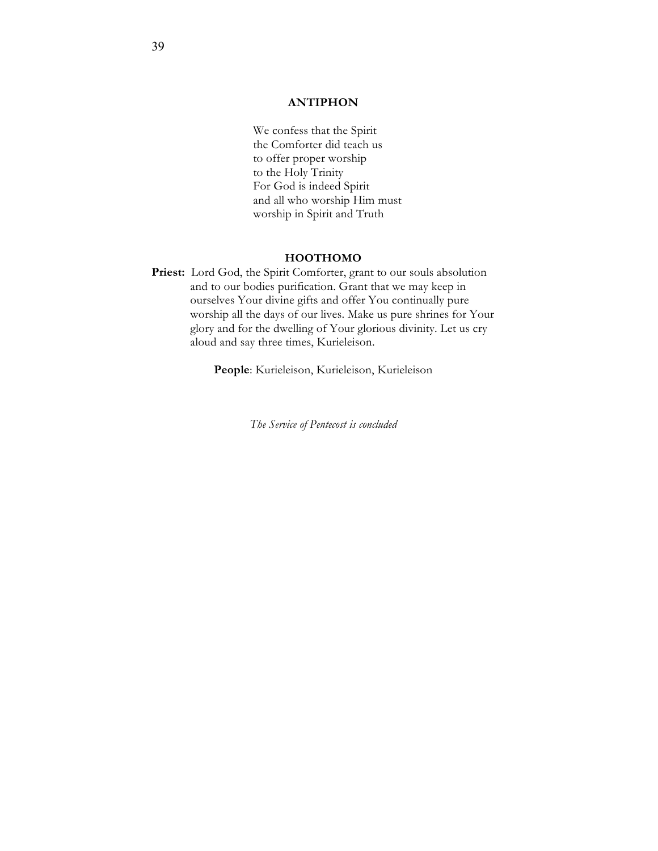# **ANTIPHON**

We confess that the Spirit the Comforter did teach us to offer proper worship to the Holy Trinity For God is indeed Spirit and all who worship Him must worship in Spirit and Truth

## **HOOTHOMO**

Priest: Lord God, the Spirit Comforter, grant to our souls absolution and to our bodies purification. Grant that we may keep in ourselves Your divine gifts and offer You continually pure worship all the days of our lives. Make us pure shrines for Your glory and for the dwelling of Your glorious divinity. Let us cry aloud and say three times, Kurieleison.

**People**: Kurieleison, Kurieleison, Kurieleison

*The Service of Pentecost is concluded*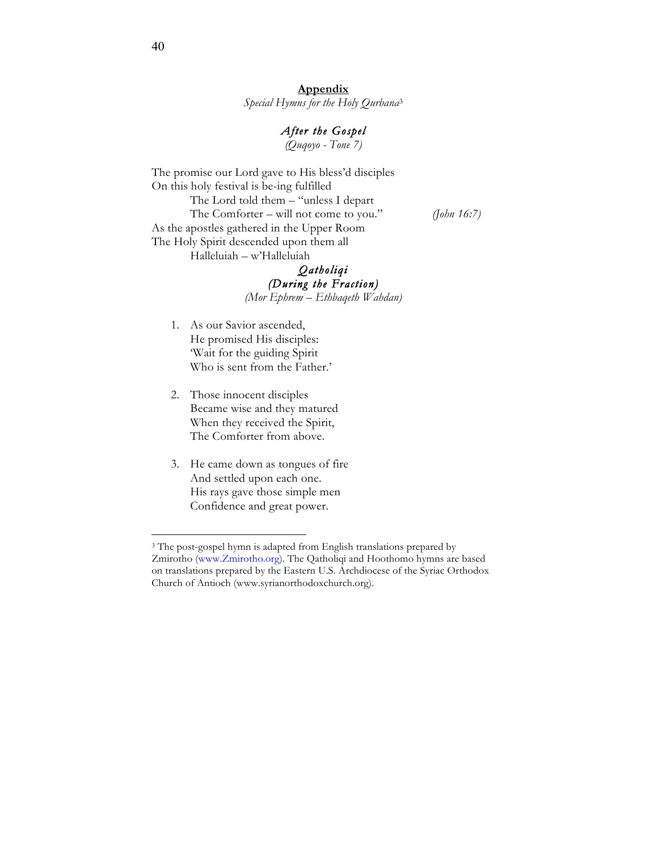**Appendix**  *Special Hymns for the Holy Qurbana*<sup>3</sup>

# *After the Gospel*

*(Quqoyo - Tone 7)*

The promise our Lord gave to His bless'd disciples On this holy festival is be-ing fulfilled The Lord told them – "unless I depart The Comforter – will not come to you." *(John 16:7)* As the apostles gathered in the Upper Room The Holy Spirit descended upon them all Halleluiah – w'Halleluiah

# *Qatholiqi (During the Fraction)*

*(Mor Ephrem – Ethbaqeth Wahdan)*

- 1. As our Savior ascended, He promised His disciples: 'Wait for the guiding Spirit Who is sent from the Father.'
- 2. Those innocent disciples Became wise and they matured When they received the Spirit, The Comforter from above.
- 3. He came down as tongues of fire And settled upon each one. His rays gave those simple men Confidence and great power.

 $\overline{a}$ 

<sup>&</sup>lt;sup>3</sup> The post-gospel hymn is adapted from English translations prepared by Zmirotho (www.Zmirotho.org). The Qatholiqi and Hoothomo hymns are based on translations prepared by the Eastern U.S. Archdiocese of the Syriac Orthodox Church of Antioch (www.syrianorthodoxchurch.org).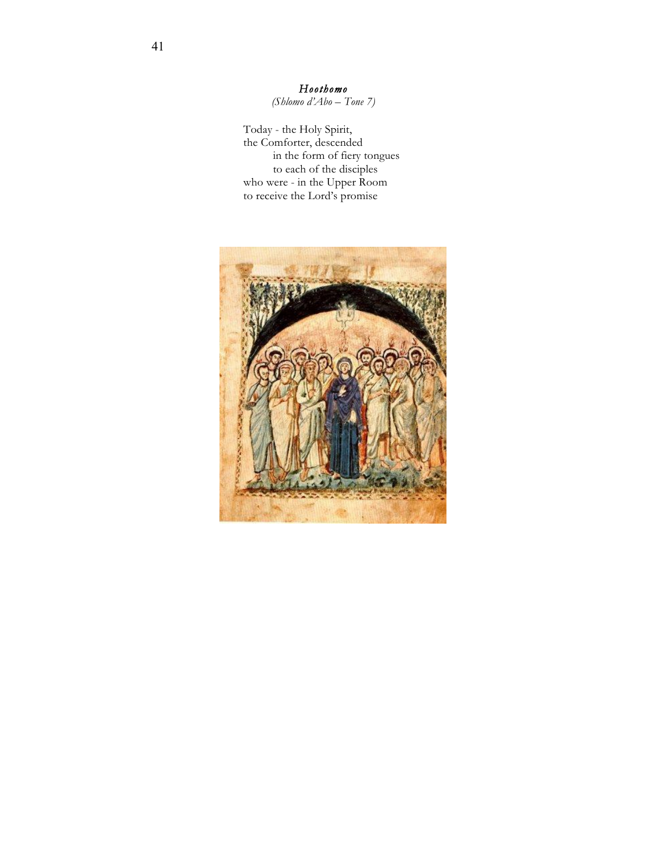*Hoothomo (Shlomo d'Abo – Tone 7)*

Today - the Holy Spirit, the Comforter, descended in the form of fiery tongues to each of the disciples who were - in the Upper Room to receive the Lord's promise